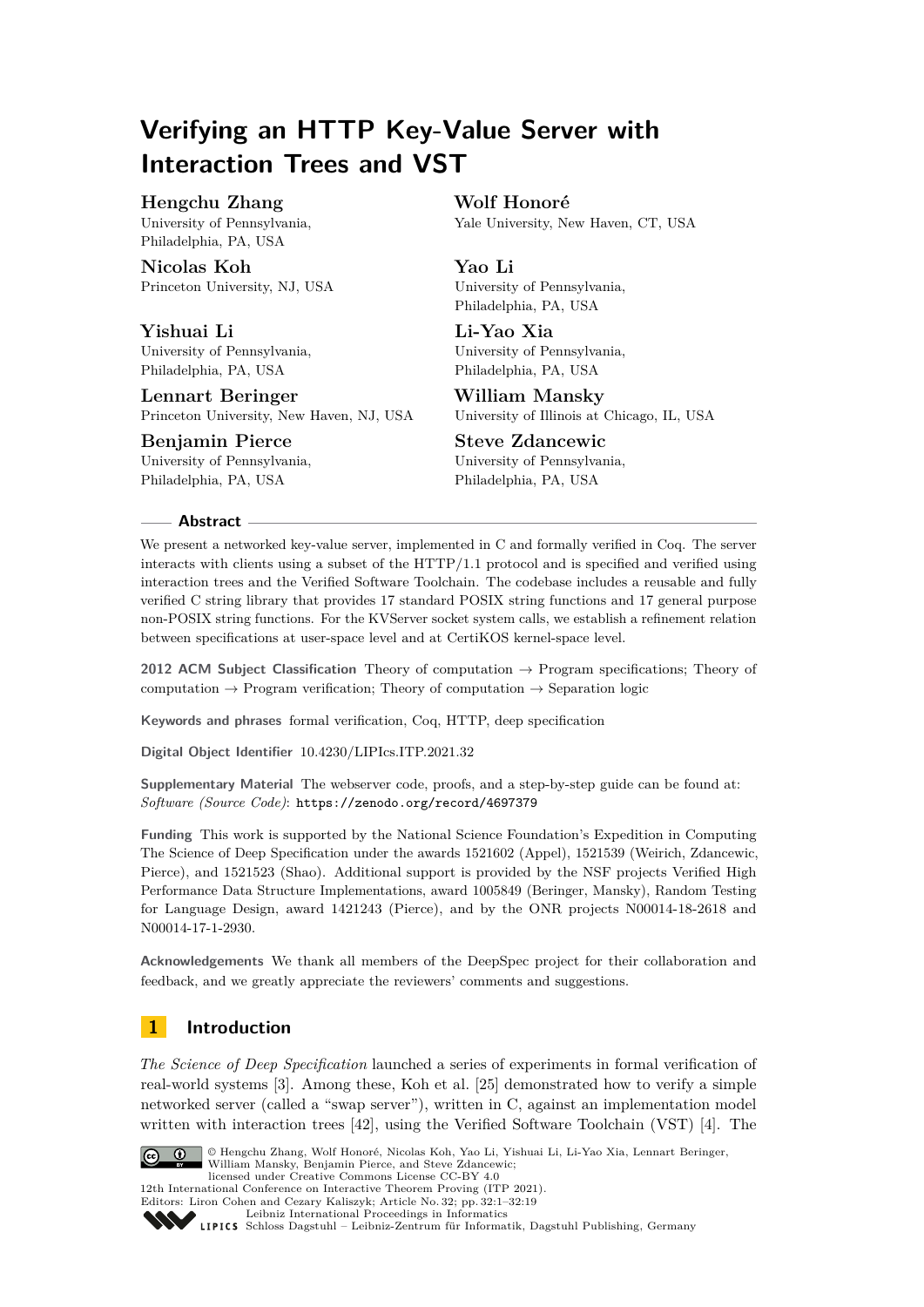# **Verifying an HTTP Key-Value Server with Interaction Trees and VST**

### **Hengchu Zhang**

University of Pennsylvania, Philadelphia, PA, USA

**Nicolas Koh** Princeton University, NJ, USA

**Yishuai Li** University of Pennsylvania, Philadelphia, PA, USA

**Lennart Beringer** Princeton University, New Haven, NJ, USA

**Benjamin Pierce** University of Pennsylvania, Philadelphia, PA, USA

**Wolf Honoré**

Yale University, New Haven, CT, USA

# **Yao Li**

University of Pennsylvania, Philadelphia, PA, USA

**Li-Yao Xia** University of Pennsylvania, Philadelphia, PA, USA

**William Mansky** University of Illinois at Chicago, IL, USA

**Steve Zdancewic** University of Pennsylvania,

Philadelphia, PA, USA

### **Abstract**

We present a networked key-value server, implemented in C and formally verified in Coq. The server interacts with clients using a subset of the HTTP/1.1 protocol and is specified and verified using interaction trees and the Verified Software Toolchain. The codebase includes a reusable and fully verified C string library that provides 17 standard POSIX string functions and 17 general purpose non-POSIX string functions. For the KVServer socket system calls, we establish a refinement relation between specifications at user-space level and at CertiKOS kernel-space level.

**2012 ACM Subject Classification** Theory of computation → Program specifications; Theory of computation  $\rightarrow$  Program verification; Theory of computation  $\rightarrow$  Separation logic

**Keywords and phrases** formal verification, Coq, HTTP, deep specification

**Digital Object Identifier** [10.4230/LIPIcs.ITP.2021.32](https://doi.org/10.4230/LIPIcs.ITP.2021.32)

**Supplementary Material** The webserver code, proofs, and a step-by-step guide can be found at: *Software (Source Code)*: <https://zenodo.org/record/4697379>

**Funding** This work is supported by the National Science Foundation's Expedition in Computing The Science of Deep Specification under the awards 1521602 (Appel), 1521539 (Weirich, Zdancewic, Pierce), and 1521523 (Shao). Additional support is provided by the NSF projects Verified High Performance Data Structure Implementations, award 1005849 (Beringer, Mansky), Random Testing for Language Design, award 1421243 (Pierce), and by the ONR projects N00014-18-2618 and N00014-17-1-2930.

**Acknowledgements** We thank all members of the DeepSpec project for their collaboration and feedback, and we greatly appreciate the reviewers' comments and suggestions.

# **1 Introduction**

*The Science of Deep Specification* launched a series of experiments in formal verification of real-world systems [\[3\]](#page-15-0). Among these, Koh et al. [\[25\]](#page-17-0) demonstrated how to verify a simple networked server (called a "swap server"), written in C, against an implementation model written with interaction trees [\[42\]](#page-18-0), using the Verified Software Toolchain (VST) [\[4\]](#page-15-1). The



© Hengchu Zhang, Wolf Honoré, Nicolas Koh, Yao Li, Yishuai Li, Li-Yao Xia, Lennart Beringer, William Mansky, Benjamin Pierce, and Steve Zdancewic; licensed under Creative Commons License CC-BY 4.0

12th International Conference on Interactive Theorem Proving (ITP 2021).

Editors: Liron Cohen and Cezary Kaliszyk; Article No. 32; pp. 32:1–32:19



[Leibniz International Proceedings in Informatics](https://www.dagstuhl.de/lipics/)

[Schloss Dagstuhl – Leibniz-Zentrum für Informatik, Dagstuhl Publishing, Germany](https://www.dagstuhl.de)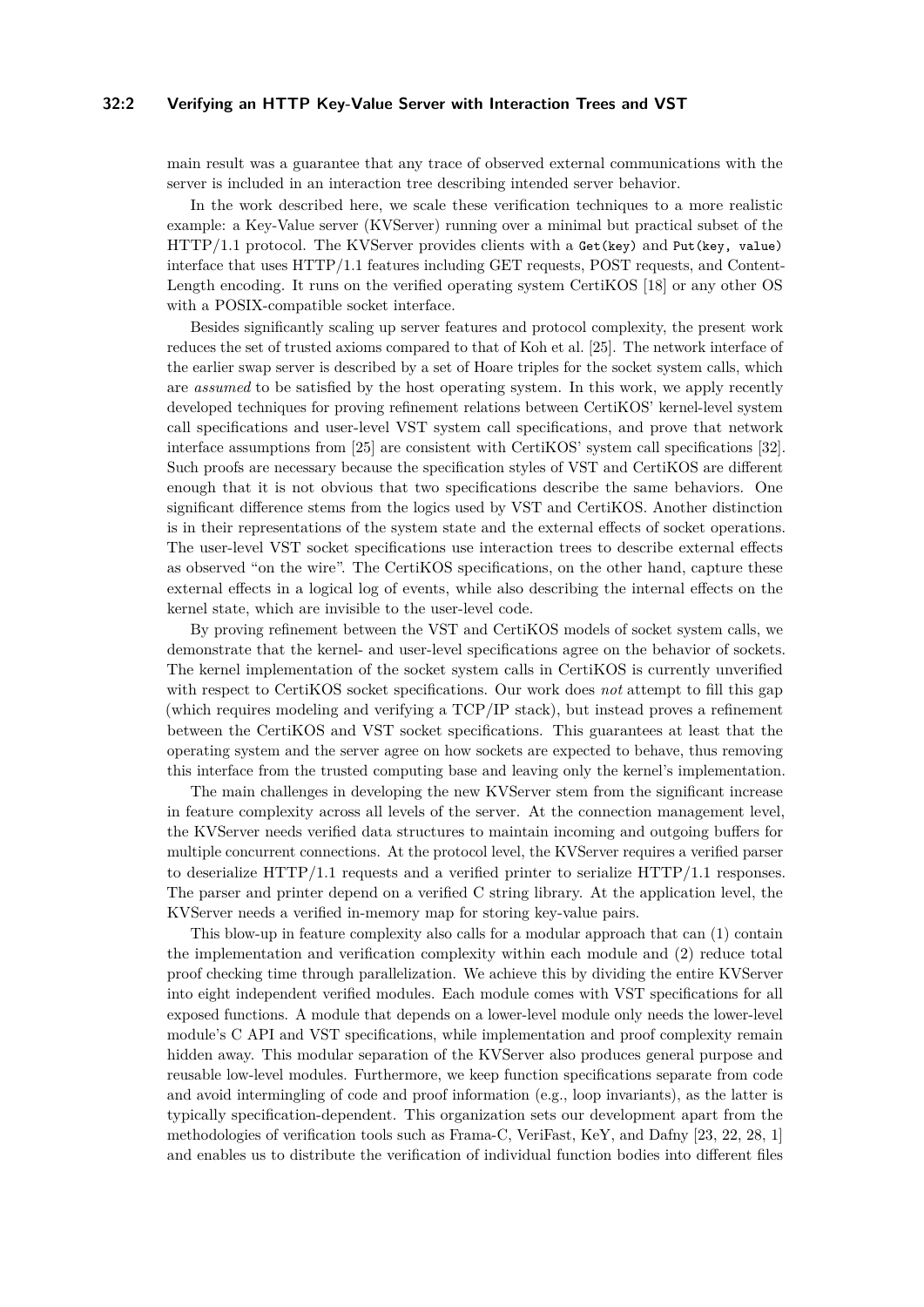### **32:2 Verifying an HTTP Key-Value Server with Interaction Trees and VST**

main result was a guarantee that any trace of observed external communications with the server is included in an interaction tree describing intended server behavior.

In the work described here, we scale these verification techniques to a more realistic example: a Key-Value server (KVServer) running over a minimal but practical subset of the HTTP/1.1 protocol. The KVServer provides clients with a Get(key) and Put(key, value) interface that uses HTTP/1.1 features including GET requests, POST requests, and Content-Length encoding. It runs on the verified operating system CertiKOS [\[18\]](#page-17-1) or any other OS with a POSIX-compatible socket interface.

Besides significantly scaling up server features and protocol complexity, the present work reduces the set of trusted axioms compared to that of Koh et al. [\[25\]](#page-17-0). The network interface of the earlier swap server is described by a set of Hoare triples for the socket system calls, which are *assumed* to be satisfied by the host operating system. In this work, we apply recently developed techniques for proving refinement relations between CertiKOS' kernel-level system call specifications and user-level VST system call specifications, and prove that network interface assumptions from [\[25\]](#page-17-0) are consistent with CertiKOS' system call specifications [\[32\]](#page-18-1). Such proofs are necessary because the specification styles of VST and CertiKOS are different enough that it is not obvious that two specifications describe the same behaviors. One significant difference stems from the logics used by VST and CertiKOS. Another distinction is in their representations of the system state and the external effects of socket operations. The user-level VST socket specifications use interaction trees to describe external effects as observed "on the wire". The CertiKOS specifications, on the other hand, capture these external effects in a logical log of events, while also describing the internal effects on the kernel state, which are invisible to the user-level code.

By proving refinement between the VST and CertiKOS models of socket system calls, we demonstrate that the kernel- and user-level specifications agree on the behavior of sockets. The kernel implementation of the socket system calls in CertiKOS is currently unverified with respect to CertiKOS socket specifications. Our work does *not* attempt to fill this gap (which requires modeling and verifying a TCP/IP stack), but instead proves a refinement between the CertiKOS and VST socket specifications. This guarantees at least that the operating system and the server agree on how sockets are expected to behave, thus removing this interface from the trusted computing base and leaving only the kernel's implementation.

The main challenges in developing the new KVServer stem from the significant increase in feature complexity across all levels of the server. At the connection management level, the KVServer needs verified data structures to maintain incoming and outgoing buffers for multiple concurrent connections. At the protocol level, the KVServer requires a verified parser to deserialize HTTP/1.1 requests and a verified printer to serialize HTTP/1.1 responses. The parser and printer depend on a verified C string library. At the application level, the KVServer needs a verified in-memory map for storing key-value pairs.

This blow-up in feature complexity also calls for a modular approach that can (1) contain the implementation and verification complexity within each module and (2) reduce total proof checking time through parallelization. We achieve this by dividing the entire KVServer into eight independent verified modules. Each module comes with VST specifications for all exposed functions. A module that depends on a lower-level module only needs the lower-level module's C API and VST specifications, while implementation and proof complexity remain hidden away. This modular separation of the KVServer also produces general purpose and reusable low-level modules. Furthermore, we keep function specifications separate from code and avoid intermingling of code and proof information (e.g., loop invariants), as the latter is typically specification-dependent. This organization sets our development apart from the methodologies of verification tools such as Frama-C, VeriFast, KeY, and Dafny [\[23,](#page-17-2) [22,](#page-17-3) [28,](#page-17-4) [1\]](#page-15-2) and enables us to distribute the verification of individual function bodies into different files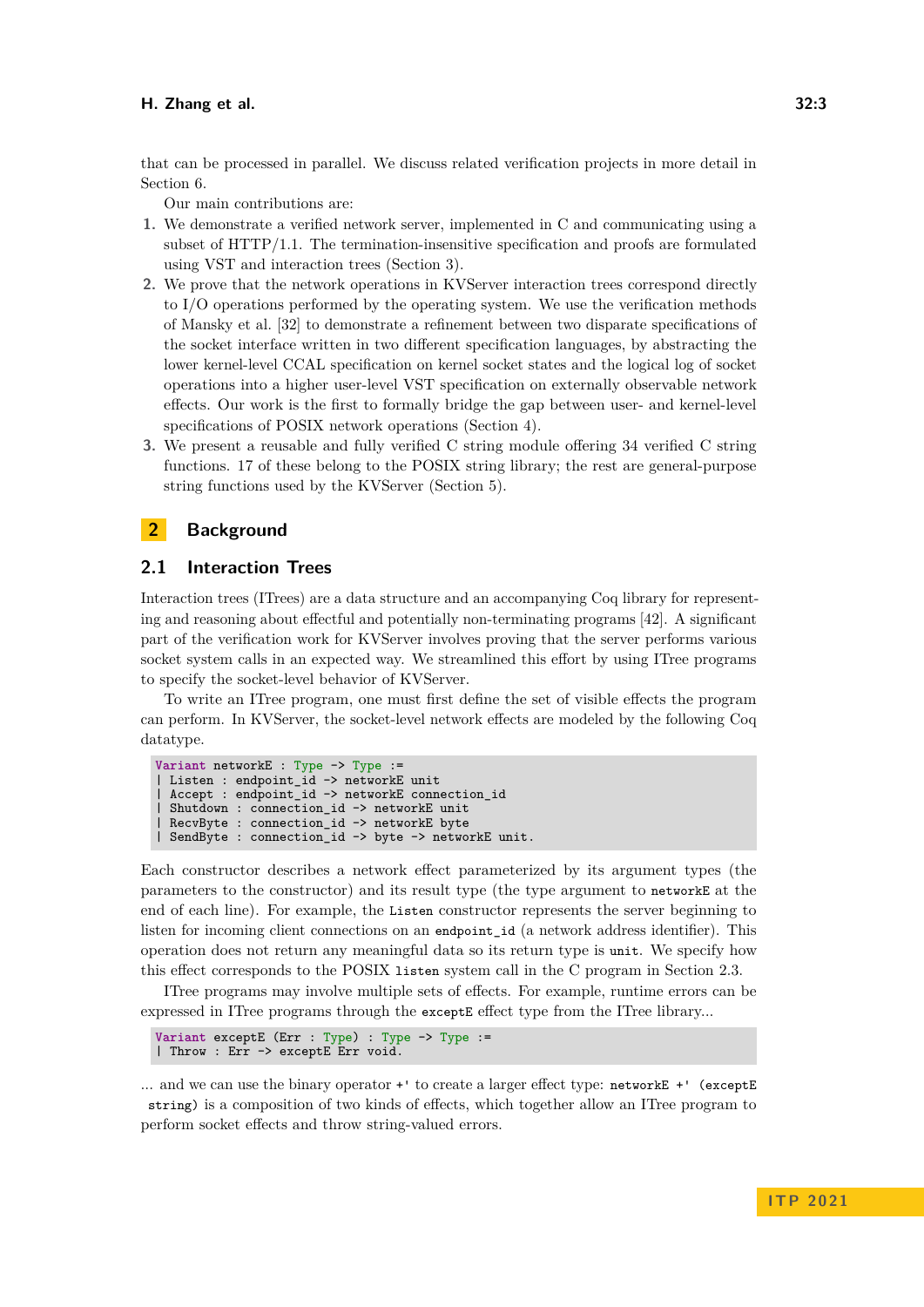that can be processed in parallel. We discuss related verification projects in more detail in Section [6.](#page-13-0)

Our main contributions are:

- **1.** We demonstrate a verified network server, implemented in C and communicating using a subset of HTTP/1.1. The termination-insensitive specification and proofs are formulated using VST and interaction trees (Section [3\)](#page-5-0).
- **2.** We prove that the network operations in KVServer interaction trees correspond directly to I/O operations performed by the operating system. We use the verification methods of Mansky et al. [\[32\]](#page-18-1) to demonstrate a refinement between two disparate specifications of the socket interface written in two different specification languages, by abstracting the lower kernel-level CCAL specification on kernel socket states and the logical log of socket operations into a higher user-level VST specification on externally observable network effects. Our work is the first to formally bridge the gap between user- and kernel-level specifications of POSIX network operations (Section [4\)](#page-8-0).
- **3.** We present a reusable and fully verified C string module offering 34 verified C string functions. 17 of these belong to the POSIX string library; the rest are general-purpose string functions used by the KVServer (Section [5\)](#page-11-0).

### **2 Background**

### <span id="page-2-0"></span>**2.1 Interaction Trees**

Interaction trees (ITrees) are a data structure and an accompanying Coq library for representing and reasoning about effectful and potentially non-terminating programs [\[42\]](#page-18-0). A significant part of the verification work for KVServer involves proving that the server performs various socket system calls in an expected way. We streamlined this effort by using ITree programs to specify the socket-level behavior of KVServer.

To write an ITree program, one must first define the set of visible effects the program can perform. In KVServer, the socket-level network effects are modeled by the following Coq datatype.

```
Variant networkE : Type -> Type :=
 Listen : endpoint_id -> networkE unit
 Accept : endpoint_id -> networkE connection id
 | Shutdown : connection_id -> networkE unit
RecvByte : connection_id -> networkE byte
| SendByte : connection_id -> byte -> networkE unit.
```
Each constructor describes a network effect parameterized by its argument types (the parameters to the constructor) and its result type (the type argument to networkE at the end of each line). For example, the Listen constructor represents the server beginning to listen for incoming client connections on an endpoint\_id (a network address identifier). This operation does not return any meaningful data so its return type is unit. We specify how this effect corresponds to the POSIX listen system call in the C program in Section [2.3.](#page-4-0)

ITree programs may involve multiple sets of effects. For example, runtime errors can be expressed in ITree programs through the exceptE effect type from the ITree library...

```
Variant exceptE (Err : Type) : Type -> Type :=
| Throw : Err -> exceptE Err void.
```
... and we can use the binary operator +' to create a larger effect type: networkE +' (exceptE string) is a composition of two kinds of effects, which together allow an ITree program to perform socket effects and throw string-valued errors.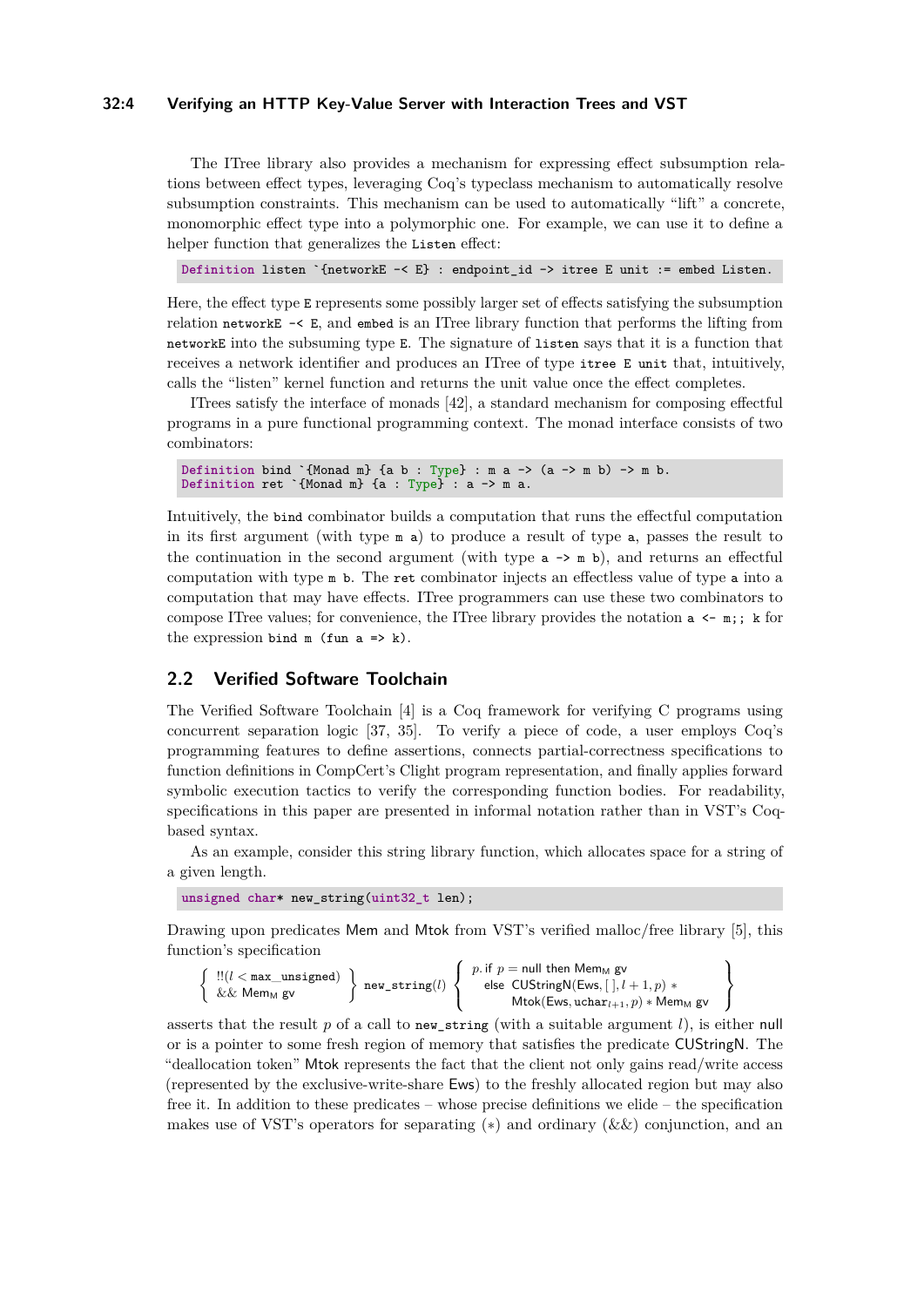### **32:4 Verifying an HTTP Key-Value Server with Interaction Trees and VST**

The ITree library also provides a mechanism for expressing effect subsumption relations between effect types, leveraging Coq's typeclass mechanism to automatically resolve subsumption constraints. This mechanism can be used to automatically "lift" a concrete, monomorphic effect type into a polymorphic one. For example, we can use it to define a helper function that generalizes the Listen effect:

**Definition** listen `{networkE -< E} : endpoint\_id -> itree E unit := embed Listen.

Here, the effect type E represents some possibly larger set of effects satisfying the subsumption relation networkE -< E, and embed is an ITree library function that performs the lifting from networkE into the subsuming type E. The signature of listen says that it is a function that receives a network identifier and produces an ITree of type itree E unit that, intuitively, calls the "listen" kernel function and returns the unit value once the effect completes.

ITrees satisfy the interface of monads [\[42\]](#page-18-0), a standard mechanism for composing effectful programs in a pure functional programming context. The monad interface consists of two combinators:

```
Definition bind `{Monad m} {a b : Type} : m a \rightarrow (a \rightarrow m b) \rightarrow m b.
Definition ret \check{\ } (Monad m} {a : Type} : a -> m a.
```
Intuitively, the bind combinator builds a computation that runs the effectful computation in its first argument (with type m a) to produce a result of type a, passes the result to the continuation in the second argument (with type  $a \rightarrow m b$ ), and returns an effectful computation with type m b. The ret combinator injects an effectless value of type a into a computation that may have effects. ITree programmers can use these two combinators to compose ITree values; for convenience, the ITree library provides the notation  $a \leq m$ ; k for the expression bind  $m$  (fun  $a \Rightarrow k$ ).

### **2.2 Verified Software Toolchain**

The Verified Software Toolchain [\[4\]](#page-15-1) is a Coq framework for verifying C programs using concurrent separation logic [\[37,](#page-18-2) [35\]](#page-18-3). To verify a piece of code, a user employs Coq's programming features to define assertions, connects partial-correctness specifications to function definitions in CompCert's Clight program representation, and finally applies forward symbolic execution tactics to verify the corresponding function bodies. For readability, specifications in this paper are presented in informal notation rather than in VST's Coqbased syntax.

As an example, consider this string library function, which allocates space for a string of a given length.

**unsigned char**\* new\_string(**uint32\_t** len);

Drawing upon predicates Mem and Mtok from VST's verified malloc/free library [\[5\]](#page-15-3), this function's specification

```
\left\{\n \begin{array}{c}\n \text{!!}(l < \text{max\_unsigned}) \\
 \&& \& \text{Mem}_M \text{ gv}\n \end{array}\n \right\}\n \text{ new\_string}(l)\sqrt{ }\left| \right|\mathcal{L}p. if p = null then Mem<sub>M</sub> gv
                                                                                                             else CUStringN(Ews, [ ], l + 1, p) ∗
                                                                                                                        Mtok(Ews, uchar_{l+1}, p) * Mem<sub>M</sub> gv
                                                                                                                                                                                                         \mathcal{L}\mathcal{L}\mathcal{F}
```
asserts that the result  $p$  of a call to new\_string (with a suitable argument  $l$ ), is either null or is a pointer to some fresh region of memory that satisfies the predicate CUStringN. The "deallocation token" Mtok represents the fact that the client not only gains read/write access (represented by the exclusive-write-share Ews) to the freshly allocated region but may also free it. In addition to these predicates – whose precise definitions we elide – the specification makes use of VST's operators for separating  $(*)$  and ordinary  $(k \&)$  conjunction, and an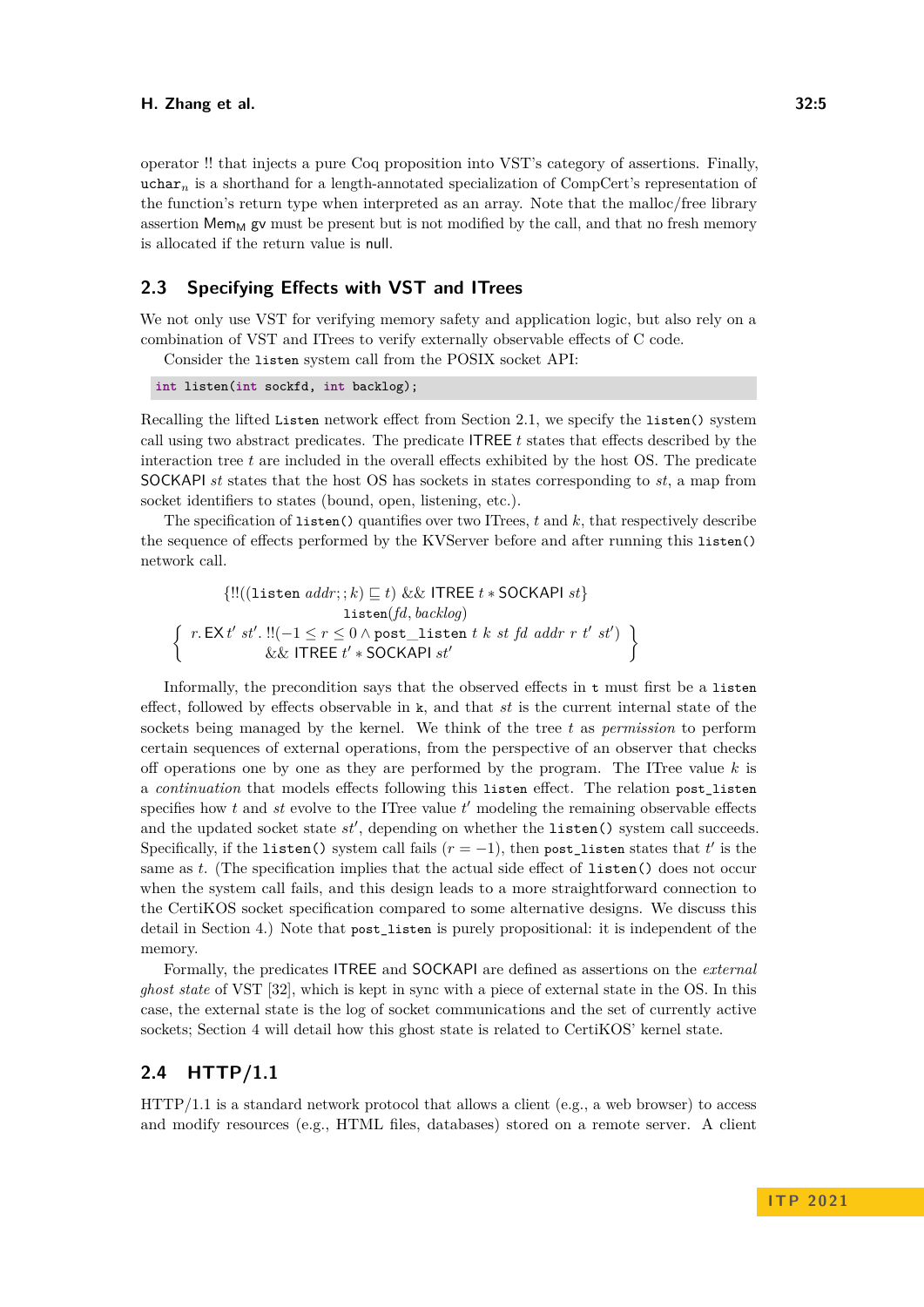operator !! that injects a pure Coq proposition into VST's category of assertions. Finally, uchar*<sup>n</sup>* is a shorthand for a length-annotated specialization of CompCert's representation of the function's return type when interpreted as an array. Note that the malloc/free library assertion  $Mem_M$  gv must be present but is not modified by the call, and that no fresh memory is allocated if the return value is null.

### <span id="page-4-0"></span>**2.3 Specifying Effects with VST and ITrees**

We not only use VST for verifying memory safety and application logic, but also rely on a combination of VST and ITrees to verify externally observable effects of C code.

Consider the listen system call from the POSIX socket API:

```
int listen(int sockfd, int backlog);
```
Recalling the lifted Listen network effect from Section [2.1,](#page-2-0) we specify the listen() system call using two abstract predicates. The predicate ITREE *t* states that effects described by the interaction tree *t* are included in the overall effects exhibited by the host OS. The predicate SOCKAPI *st* states that the host OS has sockets in states corresponding to *st*, a map from socket identifiers to states (bound, open, listening, etc.).

The specification of listen() quantifies over two ITrees, *t* and *k*, that respectively describe the sequence of effects performed by the KVServer before and after running this listen() network call.

{!!((listen *addr*; ; *k*) ⊑ *t*) && ITREE *t* ∗ SOCKAPI *st*} listen(*fd, backlog*)  $\int r \cdot E X t' \cdot s t'$ .  $!!(-1 \le r \le 0 \land \text{post}$  listen *t k st fd addr r t' st'*) && ITREE *t* ′ ∗ SOCKAPI *st*′  $\mathcal{L}$ 

Informally, the precondition says that the observed effects in t must first be a listen effect, followed by effects observable in k, and that *st* is the current internal state of the sockets being managed by the kernel. We think of the tree *t* as *permission* to perform certain sequences of external operations, from the perspective of an observer that checks off operations one by one as they are performed by the program. The ITree value *k* is a *continuation* that models effects following this listen effect. The relation post\_listen specifies how  $t$  and  $st$  evolve to the ITree value  $t'$  modeling the remaining observable effects and the updated socket state  $st'$ , depending on whether the listen() system call succeeds. Specifically, if the listen() system call fails  $(r = -1)$ , then post\_listen states that  $t'$  is the same as *t*. (The specification implies that the actual side effect of listen() does not occur when the system call fails, and this design leads to a more straightforward connection to the CertiKOS socket specification compared to some alternative designs. We discuss this detail in Section [4.](#page-8-0)) Note that post\_listen is purely propositional: it is independent of the memory.

Formally, the predicates ITREE and SOCKAPI are defined as assertions on the *external ghost state* of VST [\[32\]](#page-18-1), which is kept in sync with a piece of external state in the OS. In this case, the external state is the log of socket communications and the set of currently active sockets; Section [4](#page-8-0) will detail how this ghost state is related to CertiKOS' kernel state.

### **2.4 HTTP/1.1**

HTTP/1.1 is a standard network protocol that allows a client (e.g., a web browser) to access and modify resources (e.g., HTML files, databases) stored on a remote server. A client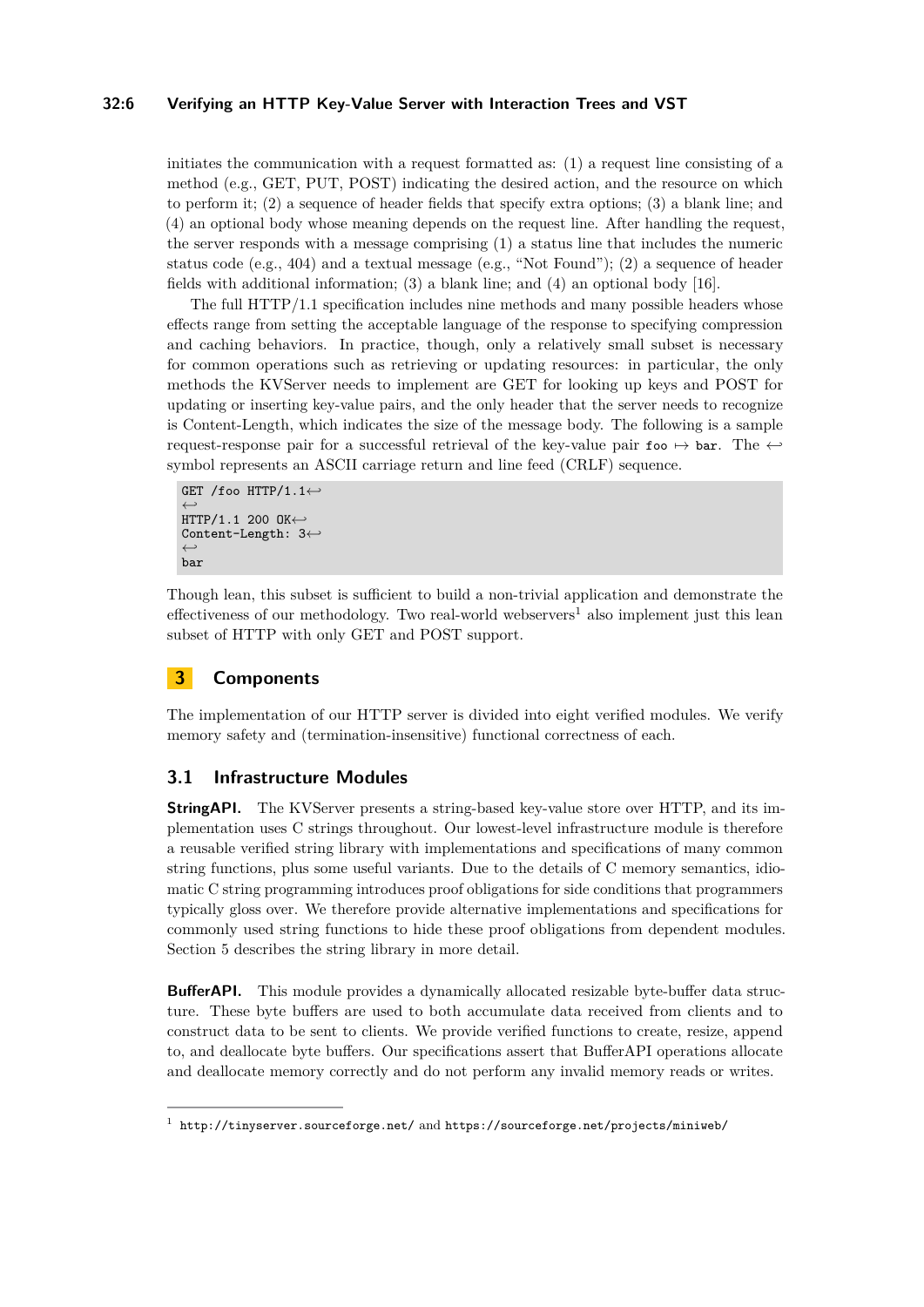### **32:6 Verifying an HTTP Key-Value Server with Interaction Trees and VST**

initiates the communication with a request formatted as: (1) a request line consisting of a method (e.g., GET, PUT, POST) indicating the desired action, and the resource on which to perform it; (2) a sequence of header fields that specify extra options; (3) a blank line; and (4) an optional body whose meaning depends on the request line. After handling the request, the server responds with a message comprising (1) a status line that includes the numeric status code (e.g.,  $404$ ) and a textual message (e.g., "Not Found"); (2) a sequence of header fields with additional information; (3) a blank line; and (4) an optional body [\[16\]](#page-16-0).

The full HTTP/1.1 specification includes nine methods and many possible headers whose effects range from setting the acceptable language of the response to specifying compression and caching behaviors. In practice, though, only a relatively small subset is necessary for common operations such as retrieving or updating resources: in particular, the only methods the KVServer needs to implement are GET for looking up keys and POST for updating or inserting key-value pairs, and the only header that the server needs to recognize is Content-Length, which indicates the size of the message body. The following is a sample request-response pair for a successful retrieval of the key-value pair  $f \circ \phi \mapsto \phi$  bar. The  $\leftrightarrow$ symbol represents an ASCII carriage return and line feed (CRLF) sequence.

```
GET /foo HTTP/1.1←-
←-
HTTP/1.1 200 OK←-
Content-Length: 3←-
←-
bar
```
Though lean, this subset is sufficient to build a non-trivial application and demonstrate the effectiveness of our methodology. Two real-world webservers<sup>[1](#page-5-1)</sup> also implement just this lean subset of HTTP with only GET and POST support.

# <span id="page-5-0"></span>**3 Components**

The implementation of our HTTP server is divided into eight verified modules. We verify memory safety and (termination-insensitive) functional correctness of each.

### **3.1 Infrastructure Modules**

**StringAPI.** The KVServer presents a string-based key-value store over HTTP, and its implementation uses C strings throughout. Our lowest-level infrastructure module is therefore a reusable verified string library with implementations and specifications of many common string functions, plus some useful variants. Due to the details of C memory semantics, idiomatic C string programming introduces proof obligations for side conditions that programmers typically gloss over. We therefore provide alternative implementations and specifications for commonly used string functions to hide these proof obligations from dependent modules. Section [5](#page-11-0) describes the string library in more detail.

**BufferAPI.** This module provides a dynamically allocated resizable byte-buffer data structure. These byte buffers are used to both accumulate data received from clients and to construct data to be sent to clients. We provide verified functions to create, resize, append to, and deallocate byte buffers. Our specifications assert that BufferAPI operations allocate and deallocate memory correctly and do not perform any invalid memory reads or writes.

<span id="page-5-1"></span> $^{\rm 1}$  <http://tinyserver.sourceforge.net/> and <https://sourceforge.net/projects/miniweb/>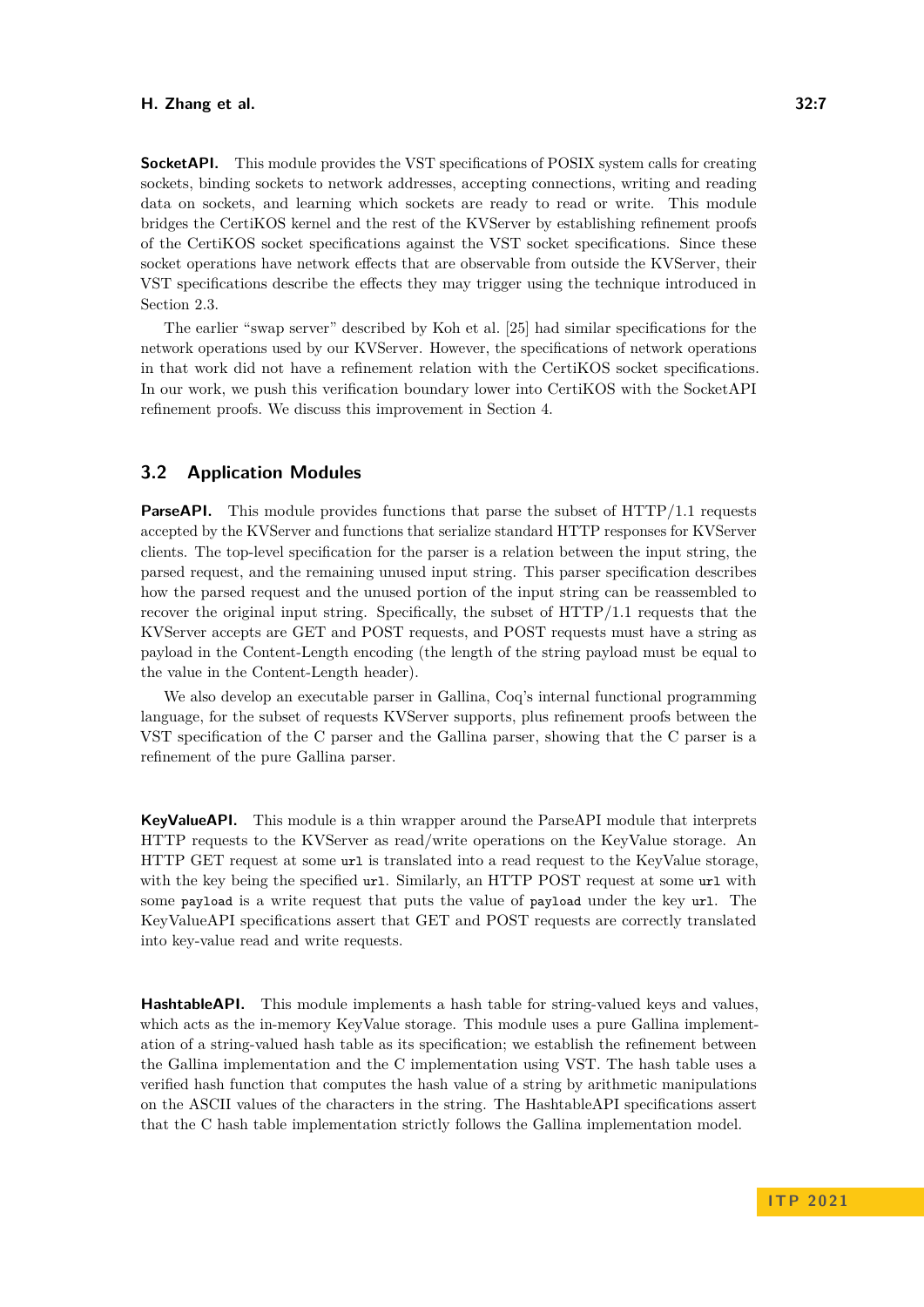**SocketAPI.** This module provides the VST specifications of POSIX system calls for creating sockets, binding sockets to network addresses, accepting connections, writing and reading data on sockets, and learning which sockets are ready to read or write. This module bridges the CertiKOS kernel and the rest of the KVServer by establishing refinement proofs of the CertiKOS socket specifications against the VST socket specifications. Since these socket operations have network effects that are observable from outside the KVServer, their VST specifications describe the effects they may trigger using the technique introduced in Section [2.3.](#page-4-0)

The earlier "swap server" described by Koh et al. [\[25\]](#page-17-0) had similar specifications for the network operations used by our KVServer. However, the specifications of network operations in that work did not have a refinement relation with the CertiKOS socket specifications. In our work, we push this verification boundary lower into CertiKOS with the SocketAPI refinement proofs. We discuss this improvement in Section [4.](#page-8-0)

### **3.2 Application Modules**

**ParseAPI.** This module provides functions that parse the subset of HTTP/1.1 requests accepted by the KVServer and functions that serialize standard HTTP responses for KVServer clients. The top-level specification for the parser is a relation between the input string, the parsed request, and the remaining unused input string. This parser specification describes how the parsed request and the unused portion of the input string can be reassembled to recover the original input string. Specifically, the subset of HTTP/1.1 requests that the KVServer accepts are GET and POST requests, and POST requests must have a string as payload in the Content-Length encoding (the length of the string payload must be equal to the value in the Content-Length header).

We also develop an executable parser in Gallina, Coq's internal functional programming language, for the subset of requests KVServer supports, plus refinement proofs between the VST specification of the C parser and the Gallina parser, showing that the C parser is a refinement of the pure Gallina parser.

**KeyValueAPI.** This module is a thin wrapper around the ParseAPI module that interprets HTTP requests to the KVServer as read/write operations on the KeyValue storage. An HTTP GET request at some url is translated into a read request to the KeyValue storage, with the key being the specified url. Similarly, an HTTP POST request at some url with some payload is a write request that puts the value of payload under the key url. The KeyValueAPI specifications assert that GET and POST requests are correctly translated into key-value read and write requests.

**HashtableAPI.** This module implements a hash table for string-valued keys and values, which acts as the in-memory KeyValue storage. This module uses a pure Gallina implementation of a string-valued hash table as its specification; we establish the refinement between the Gallina implementation and the C implementation using VST. The hash table uses a verified hash function that computes the hash value of a string by arithmetic manipulations on the ASCII values of the characters in the string. The HashtableAPI specifications assert that the C hash table implementation strictly follows the Gallina implementation model.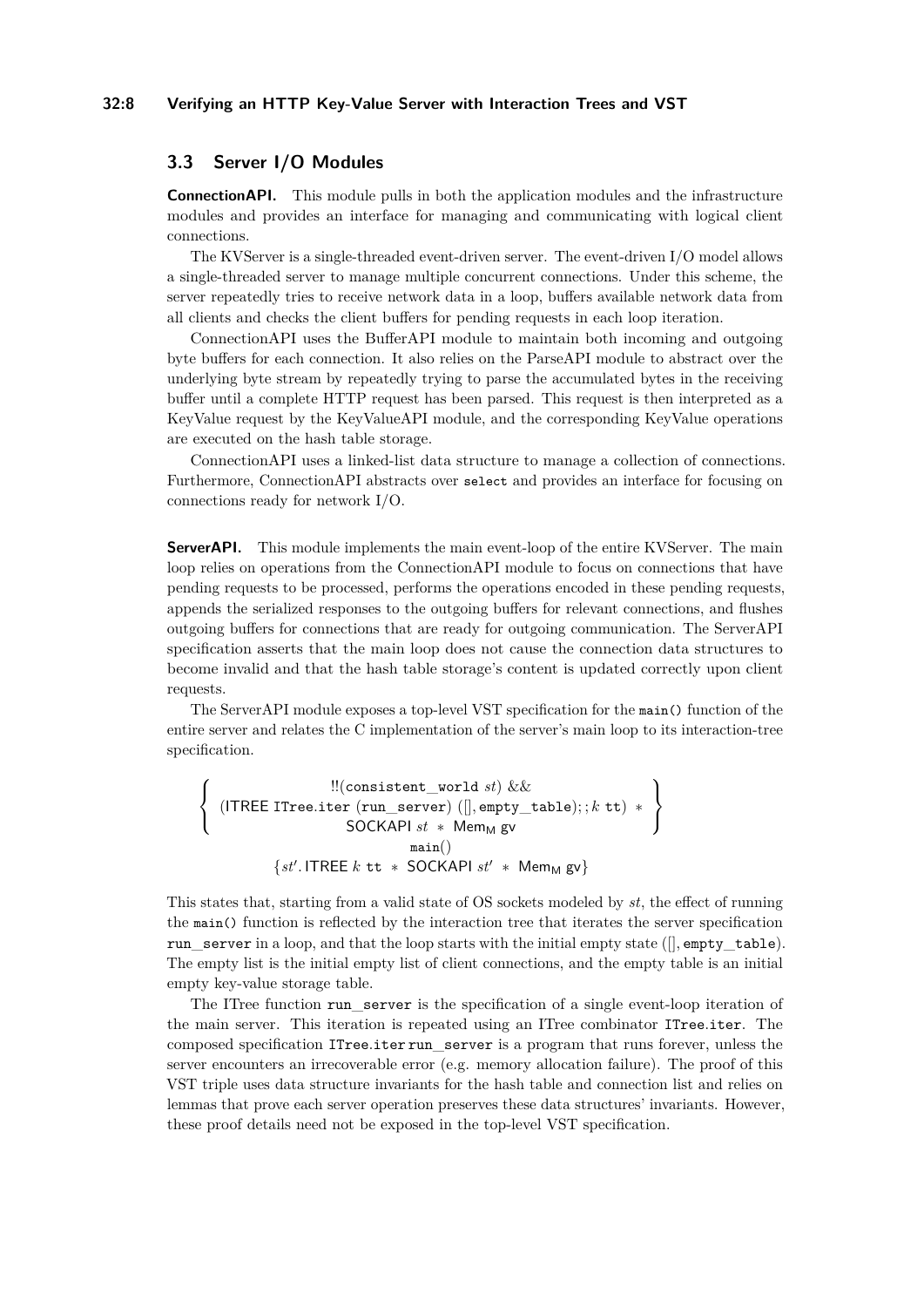### **32:8 Verifying an HTTP Key-Value Server with Interaction Trees and VST**

## **3.3 Server I/O Modules**

**ConnectionAPI.** This module pulls in both the application modules and the infrastructure modules and provides an interface for managing and communicating with logical client connections.

The KVServer is a single-threaded event-driven server. The event-driven I/O model allows a single-threaded server to manage multiple concurrent connections. Under this scheme, the server repeatedly tries to receive network data in a loop, buffers available network data from all clients and checks the client buffers for pending requests in each loop iteration.

ConnectionAPI uses the BufferAPI module to maintain both incoming and outgoing byte buffers for each connection. It also relies on the ParseAPI module to abstract over the underlying byte stream by repeatedly trying to parse the accumulated bytes in the receiving buffer until a complete HTTP request has been parsed. This request is then interpreted as a KeyValue request by the KeyValueAPI module, and the corresponding KeyValue operations are executed on the hash table storage.

ConnectionAPI uses a linked-list data structure to manage a collection of connections. Furthermore, ConnectionAPI abstracts over select and provides an interface for focusing on connections ready for network I/O.

**ServerAPI.** This module implements the main event-loop of the entire KVServer. The main loop relies on operations from the ConnectionAPI module to focus on connections that have pending requests to be processed, performs the operations encoded in these pending requests, appends the serialized responses to the outgoing buffers for relevant connections, and flushes outgoing buffers for connections that are ready for outgoing communication. The ServerAPI specification asserts that the main loop does not cause the connection data structures to become invalid and that the hash table storage's content is updated correctly upon client requests.

The ServerAPI module exposes a top-level VST specification for the main() function of the entire server and relates the C implementation of the server's main loop to its interaction-tree specification.

$$
\left\{\begin{array}{c}\text{!!(consistent\_world }st) \&&\\ \text{(ITREE Three.iter (run\_server) ([], empty_table);; k tt) * }\\ \text{SOCKAPI }st * \text{Mem}_M \text{ gv} \\ \text{main()}\\ \{st'.\text{ITREE }k \text{ tt } * \text{SOCKAPI }st' * \text{Mem}_M \text{ gv}\}\end{array}\right\}
$$

This states that, starting from a valid state of OS sockets modeled by *st*, the effect of running the main() function is reflected by the interaction tree that iterates the server specification run server in a loop, and that the loop starts with the initial empty state ( $[$ *,* empty table). The empty list is the initial empty list of client connections, and the empty table is an initial empty key-value storage table.

The ITree function run\_server is the specification of a single event-loop iteration of the main server. This iteration is repeated using an ITree combinator ITree*.*iter. The composed specification ITree*.*iter run\_server is a program that runs forever, unless the server encounters an irrecoverable error (e.g. memory allocation failure). The proof of this VST triple uses data structure invariants for the hash table and connection list and relies on lemmas that prove each server operation preserves these data structures' invariants. However, these proof details need not be exposed in the top-level VST specification.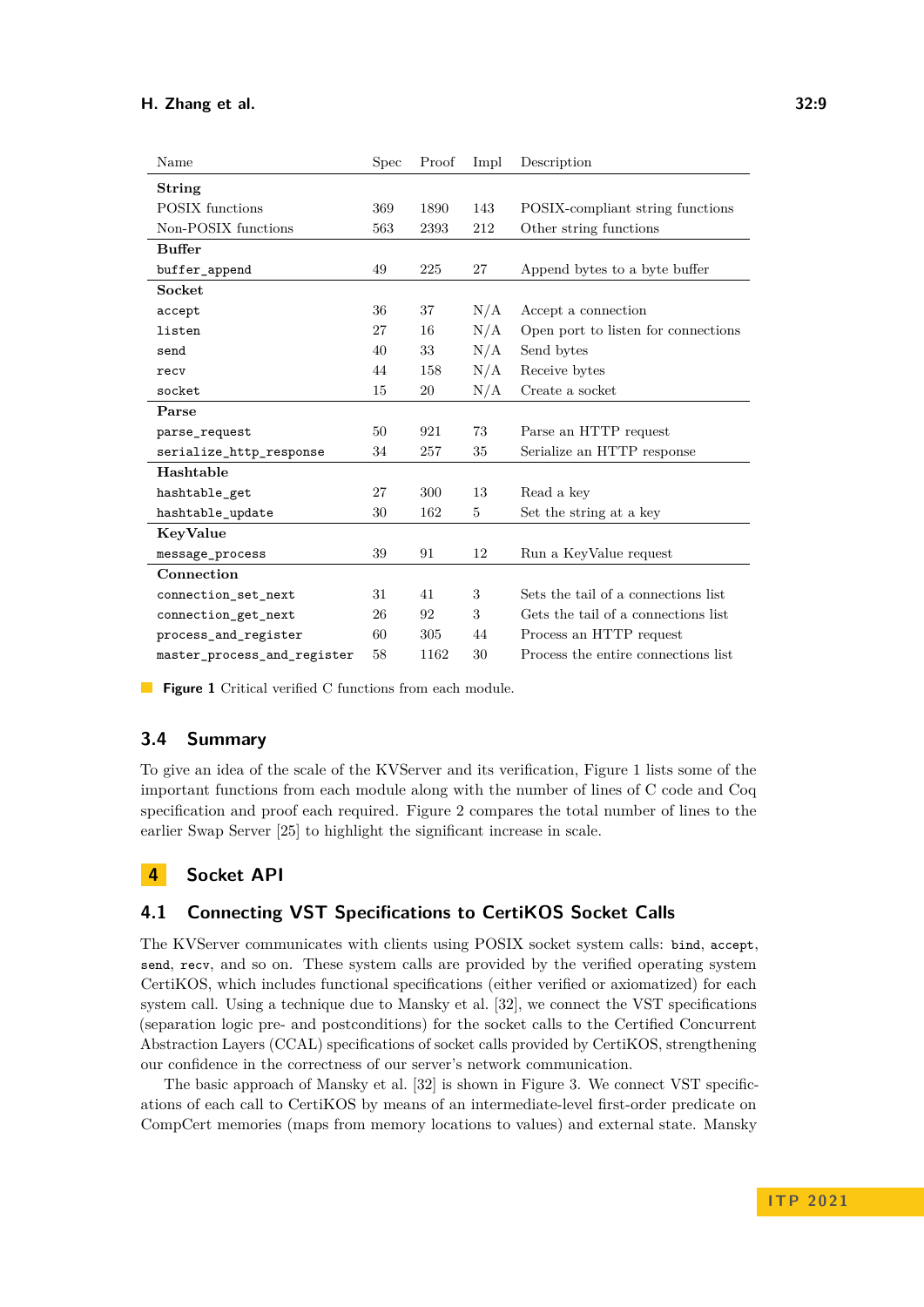<span id="page-8-1"></span>

| Name                        | Spec | Proof | Impl | Description                         |  |
|-----------------------------|------|-------|------|-------------------------------------|--|
| <b>String</b>               |      |       |      |                                     |  |
| <b>POSIX</b> functions      | 369  | 1890  | 143  | POSIX-compliant string functions    |  |
| Non-POSIX functions         | 563  | 2393  | 212  | Other string functions              |  |
| <b>Buffer</b>               |      |       |      |                                     |  |
| buffer_append               | 49   | 225   | 27   | Append bytes to a byte buffer       |  |
| Socket                      |      |       |      |                                     |  |
| accept                      | 36   | 37    | N/A  | Accept a connection                 |  |
| listen                      | 27   | 16    | N/A  | Open port to listen for connections |  |
| send                        | 40   | 33    | N/A  | Send bytes                          |  |
| recv                        | 44   | 158   | N/A  | Receive bytes                       |  |
| socket                      | 15   | 20    | N/A  | Create a socket                     |  |
| Parse                       |      |       |      |                                     |  |
| parse_request               | 50   | 921   | 73   | Parse an HTTP request               |  |
| serialize_http_response     | 34   | 257   | 35   | Serialize an HTTP response          |  |
| Hashtable                   |      |       |      |                                     |  |
| hashtable_get               | 27   | 300   | 13   | Read a key                          |  |
| hashtable_update            | 30   | 162   | 5    | Set the string at a key             |  |
| KeyValue                    |      |       |      |                                     |  |
| message_process             | 39   | 91    | 12   | Run a KeyValue request              |  |
| Connection                  |      |       |      |                                     |  |
| connection_set_next         | 31   | 41    | 3    | Sets the tail of a connections list |  |
| connection get next         | 26   | 92    | 3    | Gets the tail of a connections list |  |
| process_and_register        | 60   | 305   | 44   | Process an HTTP request             |  |
| master_process_and_register | 58   | 1162  | 30   | Process the entire connections list |  |

**Figure 1** Critical verified C functions from each module.

### **3.4 Summary**

To give an idea of the scale of the KVServer and its verification, Figure [1](#page-8-1) lists some of the important functions from each module along with the number of lines of C code and Coq specification and proof each required. Figure [2](#page-9-0) compares the total number of lines to the earlier Swap Server [\[25\]](#page-17-0) to highlight the significant increase in scale.

# <span id="page-8-0"></span>**4 Socket API**

### **4.1 Connecting VST Specifications to CertiKOS Socket Calls**

The KVServer communicates with clients using POSIX socket system calls: bind, accept, send, recv, and so on. These system calls are provided by the verified operating system CertiKOS, which includes functional specifications (either verified or axiomatized) for each system call. Using a technique due to Mansky et al. [\[32\]](#page-18-1), we connect the VST specifications (separation logic pre- and postconditions) for the socket calls to the Certified Concurrent Abstraction Layers (CCAL) specifications of socket calls provided by CertiKOS, strengthening our confidence in the correctness of our server's network communication.

The basic approach of Mansky et al. [\[32\]](#page-18-1) is shown in Figure [3.](#page-9-1) We connect VST specifications of each call to CertiKOS by means of an intermediate-level first-order predicate on CompCert memories (maps from memory locations to values) and external state. Mansky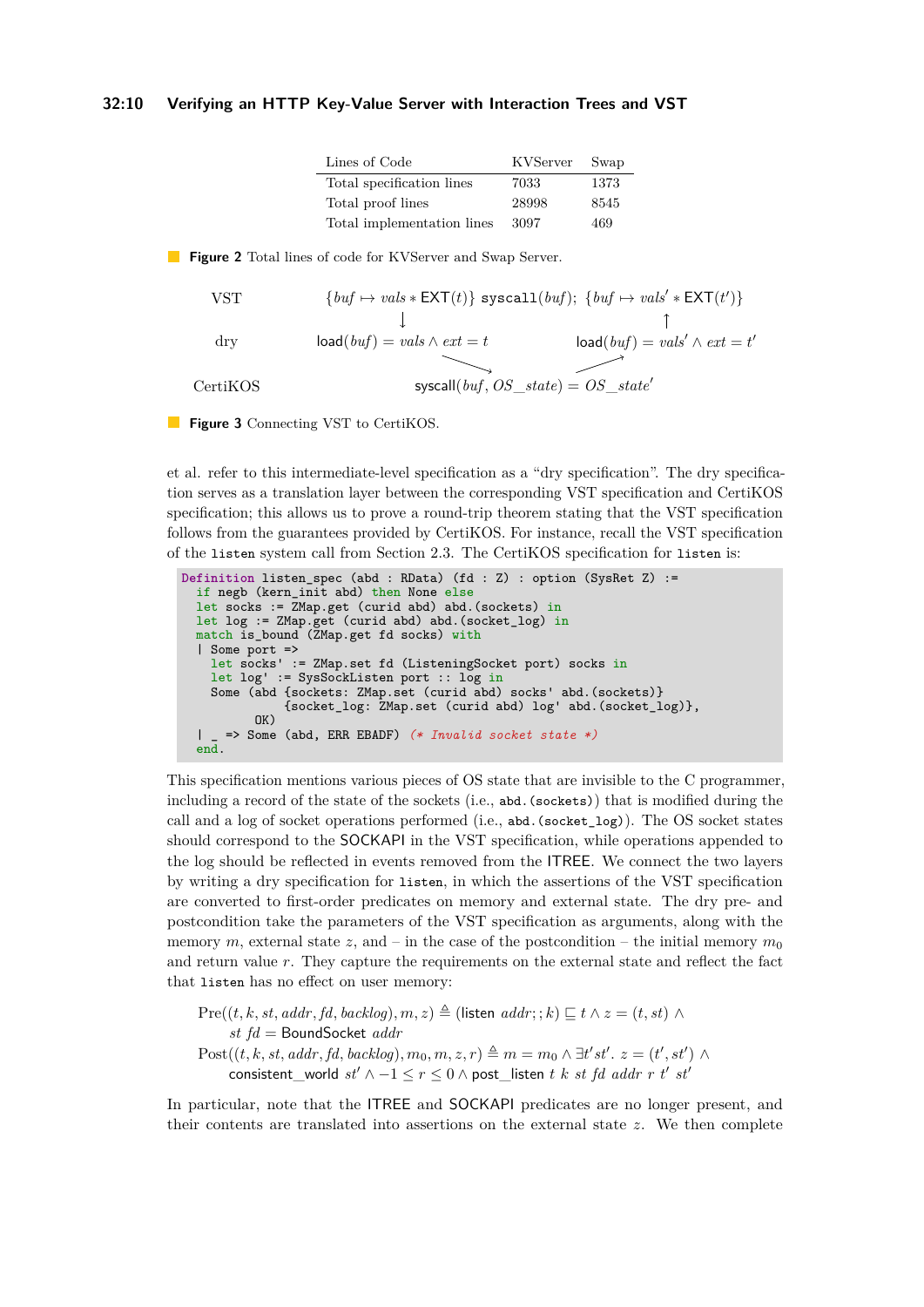#### <span id="page-9-0"></span>**32:10 Verifying an HTTP Key-Value Server with Interaction Trees and VST**

| Lines of Code              | KVServer | Swap |
|----------------------------|----------|------|
| Total specification lines  | 7033     | 1373 |
| Total proof lines          | 28998    | 8545 |
| Total implementation lines | 3097     | 469  |

<span id="page-9-1"></span>**Figure 2** Total lines of code for KVServer and Swap Server.

VST  
\n
$$
\{buf \mapsto vals * \textsf{EXT}(t)\} \text{ syscall}(buf); \{buf \mapsto vals' * \textsf{EXT}(t')\}
$$
\n
$$
\downarrow \qquad \qquad \uparrow
$$
\n
$$
\text{load}(buf) = vals \wedge ext = t \qquad \qquad \text{load}(buf) = vals' \wedge ext = t'
$$
\n
$$
\text{CertiKOS} \qquad \qquad \text{syscall}(buf, OS\_state) = OS\_state'
$$

**Figure 3** Connecting VST to CertiKOS.

et al. refer to this intermediate-level specification as a "dry specification". The dry specification serves as a translation layer between the corresponding VST specification and CertiKOS specification; this allows us to prove a round-trip theorem stating that the VST specification follows from the guarantees provided by CertiKOS. For instance, recall the VST specification of the listen system call from Section [2.3.](#page-4-0) The CertiKOS specification for listen is:

```
Definition listen_spec (abd : RData) (fd : Z) : option (SysRet Z) :=
  if negb (kern_init abd) then None else
  let socks := ZMap.get (curid abd) abd.(sockets) in
  let log := ZMap.get (curid abd) abd.(socket_log) in
  match is_bound (ZMap.get fd socks) with
  | Some port =>
    let socks' := ZMap.set fd (ListeningSocket port) socks in
    let log' := SysSockListen port :: log in
    Some (abd {sockets: ZMap.set (curid abd) socks' abd.(sockets)}
              {socket_log: ZMap.set (curid abd) log' abd.(socket_log)},
          OK)
  | _ => Some (abd, ERR EBADF) (* Invalid socket state *)
  end.
```
This specification mentions various pieces of OS state that are invisible to the C programmer, including a record of the state of the sockets (i.e., abd.(sockets)) that is modified during the call and a log of socket operations performed (i.e., abd.(socket\_log)). The OS socket states should correspond to the SOCKAPI in the VST specification, while operations appended to the log should be reflected in events removed from the ITREE. We connect the two layers by writing a dry specification for listen, in which the assertions of the VST specification are converted to first-order predicates on memory and external state. The dry pre- and postcondition take the parameters of the VST specification as arguments, along with the memory *m*, external state *z*, and – in the case of the postcondition – the initial memory  $m_0$ and return value *r*. They capture the requirements on the external state and reflect the fact that listen has no effect on user memory:

Pre((*t, k, st, addr, fd, backlog*)*, m, z*)  $\triangleq$  (listen *addr*; ; *k*) ⊏ *t* ∧ *z* = (*t, st*) ∧ *st fd* = BoundSocket *addr*  $Post((t, k, st, addr, fd, backlog), m_0, m, z, r) \triangleq m = m_0 \wedge \exists t' st'. z = (t', st') \wedge$  $\text{consistent\_world } st' \land -1 \leq r \leq 0 \land \text{post\_listen } t \; k \; st \; fd \; addr \; r \; t' \; st'$ 

In particular, note that the ITREE and SOCKAPI predicates are no longer present, and their contents are translated into assertions on the external state *z*. We then complete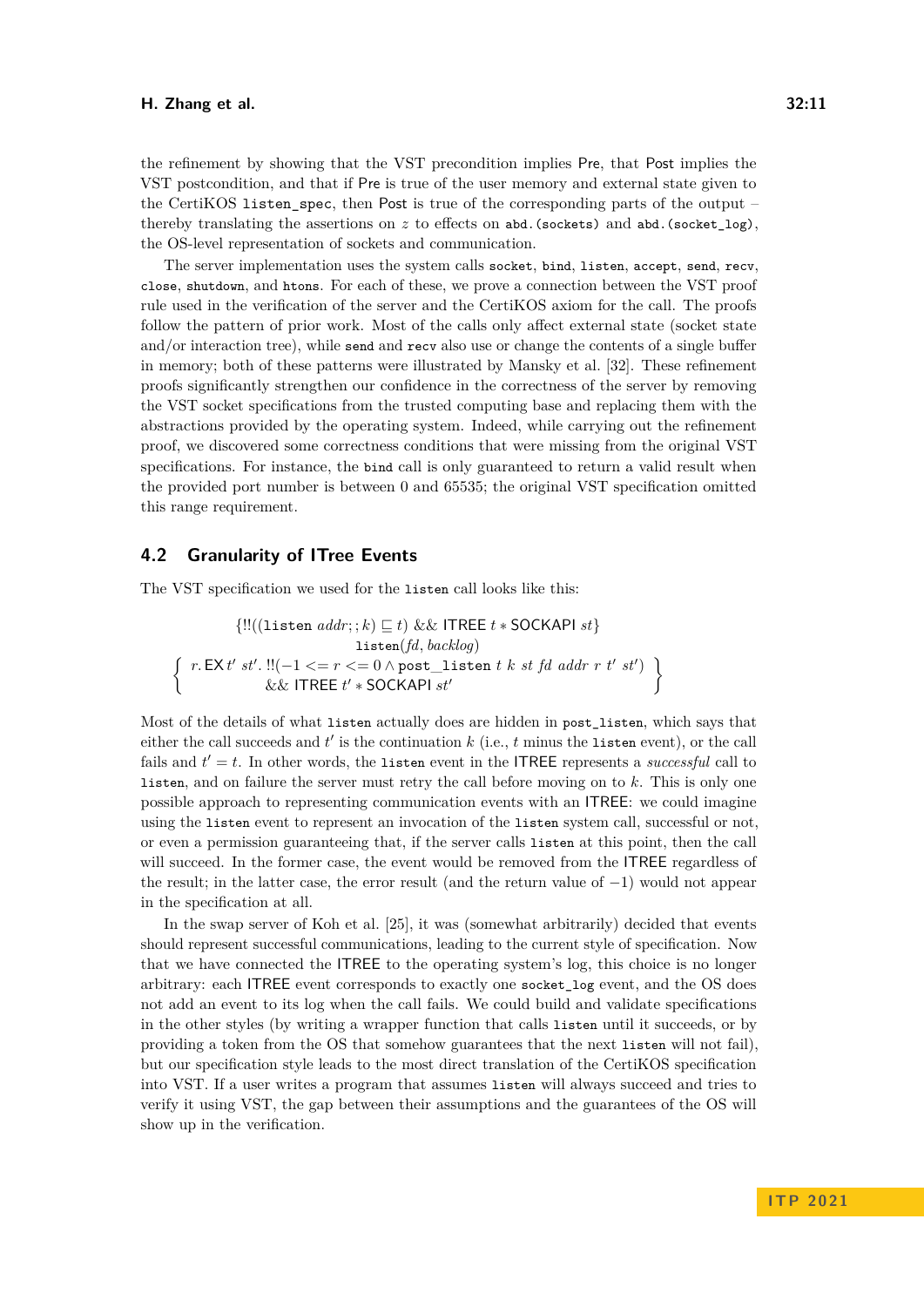the refinement by showing that the VST precondition implies Pre, that Post implies the VST postcondition, and that if Pre is true of the user memory and external state given to the CertiKOS listen spec, then Post is true of the corresponding parts of the output – thereby translating the assertions on *z* to effects on abd.(sockets) and abd.(socket\_log), the OS-level representation of sockets and communication.

The server implementation uses the system calls socket, bind, listen, accept, send, recv, close, shutdown, and htons. For each of these, we prove a connection between the VST proof rule used in the verification of the server and the CertiKOS axiom for the call. The proofs follow the pattern of prior work. Most of the calls only affect external state (socket state and/or interaction tree), while send and recv also use or change the contents of a single buffer in memory; both of these patterns were illustrated by Mansky et al. [\[32\]](#page-18-1). These refinement proofs significantly strengthen our confidence in the correctness of the server by removing the VST socket specifications from the trusted computing base and replacing them with the abstractions provided by the operating system. Indeed, while carrying out the refinement proof, we discovered some correctness conditions that were missing from the original VST specifications. For instance, the bind call is only guaranteed to return a valid result when the provided port number is between 0 and 65535; the original VST specification omitted this range requirement.

### **4.2 Granularity of ITree Events**

The VST specification we used for the listen call looks like this:

$$
\{!!((\text{listen }addr; ; k) \sqsubseteq t) \&\& \text{ ITREE } t * \text{SOCKAPI } st\}
$$
\n
$$
\left\{\n \begin{array}{c}\n \text{r. EX } t' \text{ s}t'.\n \text{!!}(-1 <= r <= 0 \land \text{post\_listen } t \ k \ st \ fd \ addr \ r \ t' \ st') \\
 \&\& \text{ ITREE } t' * \text{SOCKAPI } st'\n \end{array}\n \right\}
$$

Most of the details of what listen actually does are hidden in post\_listen, which says that either the call succeeds and  $t'$  is the continuation  $k$  (i.e.,  $t$  minus the listen event), or the call fails and  $t' = t$ . In other words, the listen event in the ITREE represents a *successful* call to listen, and on failure the server must retry the call before moving on to *k*. This is only one possible approach to representing communication events with an ITREE: we could imagine using the listen event to represent an invocation of the listen system call, successful or not, or even a permission guaranteeing that, if the server calls listen at this point, then the call will succeed. In the former case, the event would be removed from the ITREE regardless of the result; in the latter case, the error result (and the return value of −1) would not appear in the specification at all.

In the swap server of Koh et al. [\[25\]](#page-17-0), it was (somewhat arbitrarily) decided that events should represent successful communications, leading to the current style of specification. Now that we have connected the ITREE to the operating system's log, this choice is no longer arbitrary: each ITREE event corresponds to exactly one socket\_log event, and the OS does not add an event to its log when the call fails. We could build and validate specifications in the other styles (by writing a wrapper function that calls listen until it succeeds, or by providing a token from the OS that somehow guarantees that the next listen will not fail), but our specification style leads to the most direct translation of the CertiKOS specification into VST. If a user writes a program that assumes listen will always succeed and tries to verify it using VST, the gap between their assumptions and the guarantees of the OS will show up in the verification.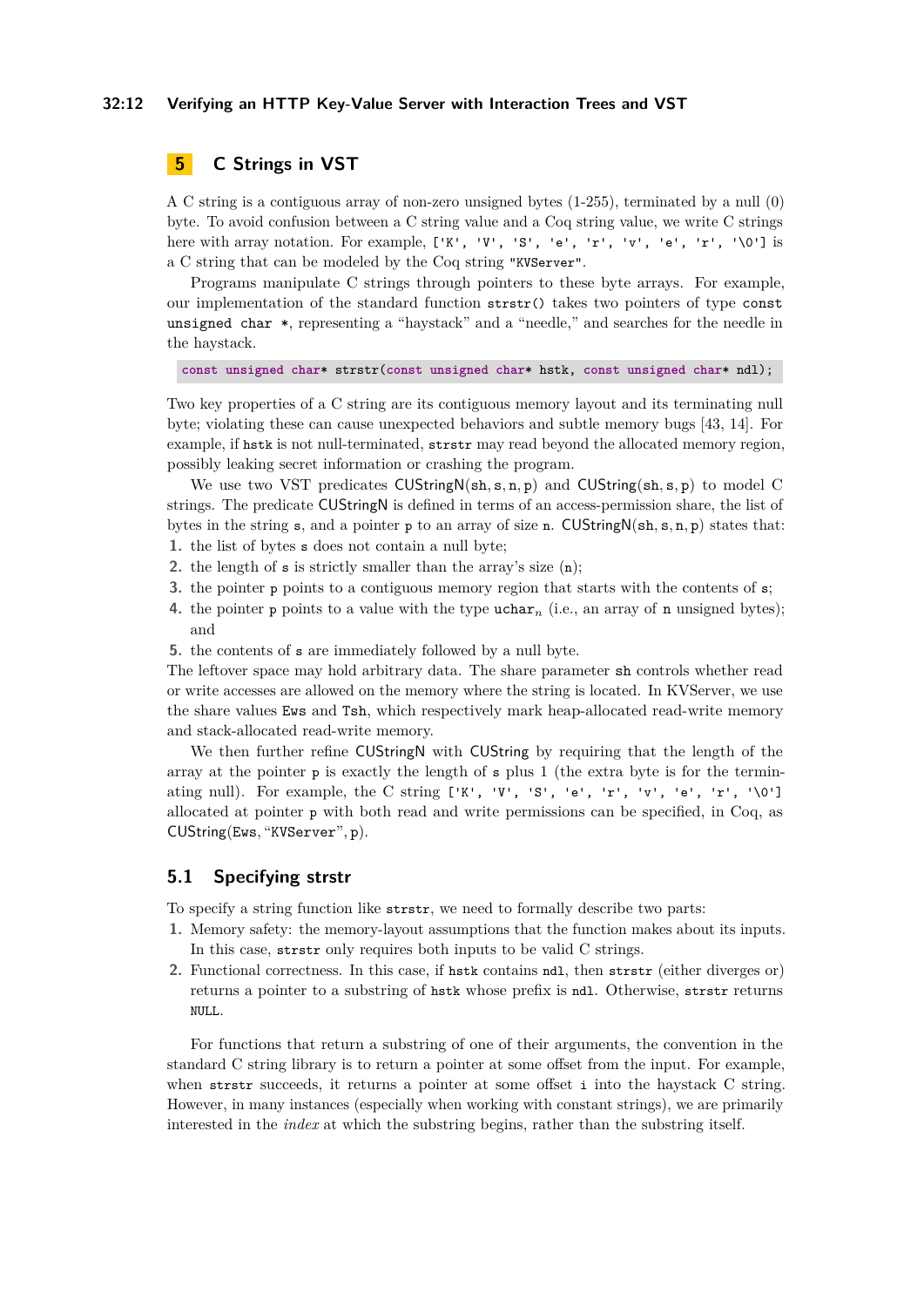#### **32:12 Verifying an HTTP Key-Value Server with Interaction Trees and VST**

# <span id="page-11-0"></span>**5 C Strings in VST**

A C string is a contiguous array of non-zero unsigned bytes (1-255), terminated by a null (0) byte. To avoid confusion between a C string value and a Coq string value, we write C strings here with array notation. For example,  $[\mathbf{K}, \mathbf{W}, \mathbf{S}, \mathbf{S}, \mathbf{S}, \mathbf{W}, \mathbf{S}^{\dagger}, \mathbf{S}, \mathbf{W}, \mathbf{S}^{\dagger}, \mathbf{S}^{\dagger}, \mathbf{S}^{\dagger}, \mathbf{S}^{\dagger}, \mathbf{S}^{\dagger}, \mathbf{S}^{\dagger}, \mathbf{S}^{\dagger}]$  is a C string that can be modeled by the Coq string "KVServer".

Programs manipulate C strings through pointers to these byte arrays. For example, our implementation of the standard function strstr() takes two pointers of type const unsigned char \*, representing a "haystack" and a "needle," and searches for the needle in the haystack.

**const unsigned char**\* strstr(**const unsigned char**\* hstk, **const unsigned char**\* ndl);

Two key properties of a C string are its contiguous memory layout and its terminating null byte; violating these can cause unexpected behaviors and subtle memory bugs [\[43,](#page-18-4) [14\]](#page-16-1). For example, if hstk is not null-terminated, strstr may read beyond the allocated memory region, possibly leaking secret information or crashing the program.

We use two VST predicates CUStringN(sh*,* s*,* n*,* p) and CUString(sh*,* s*,* p) to model C strings. The predicate CUStringN is defined in terms of an access-permission share, the list of bytes in the string s, and a pointer p to an array of size n. CUStringN(sh*,* s*,* n*,* p) states that: **1.** the list of bytes s does not contain a null byte;

- 
- **2.** the length of s is strictly smaller than the array's size (n);
- **3.** the pointer p points to a contiguous memory region that starts with the contents of s;
- **4.** the pointer p points to a value with the type  $\mu$  diarraction array of n unsigned bytes); and
- **5.** the contents of s are immediately followed by a null byte.

The leftover space may hold arbitrary data. The share parameter sh controls whether read or write accesses are allowed on the memory where the string is located. In KVServer, we use the share values Ews and Tsh, which respectively mark heap-allocated read-write memory and stack-allocated read-write memory.

We then further refine CUStringN with CUString by requiring that the length of the array at the pointer p is exactly the length of s plus 1 (the extra byte is for the terminating null). For example, the C string  $[K', V', 'S', 'e', 'r', 'v', 'e', 'r', 'v']$ allocated at pointer p with both read and write permissions can be specified, in Coq, as CUString(Ews*,* "KVServer"*,* p).

### **5.1 Specifying strstr**

To specify a string function like strstr, we need to formally describe two parts:

- **1.** Memory safety: the memory-layout assumptions that the function makes about its inputs. In this case, strstr only requires both inputs to be valid C strings.
- **2.** Functional correctness. In this case, if hstk contains ndl, then strstr (either diverges or) returns a pointer to a substring of hstk whose prefix is ndl. Otherwise, strstr returns NULL.

For functions that return a substring of one of their arguments, the convention in the standard C string library is to return a pointer at some offset from the input. For example, when strstr succeeds, it returns a pointer at some offset i into the haystack C string. However, in many instances (especially when working with constant strings), we are primarily interested in the *index* at which the substring begins, rather than the substring itself.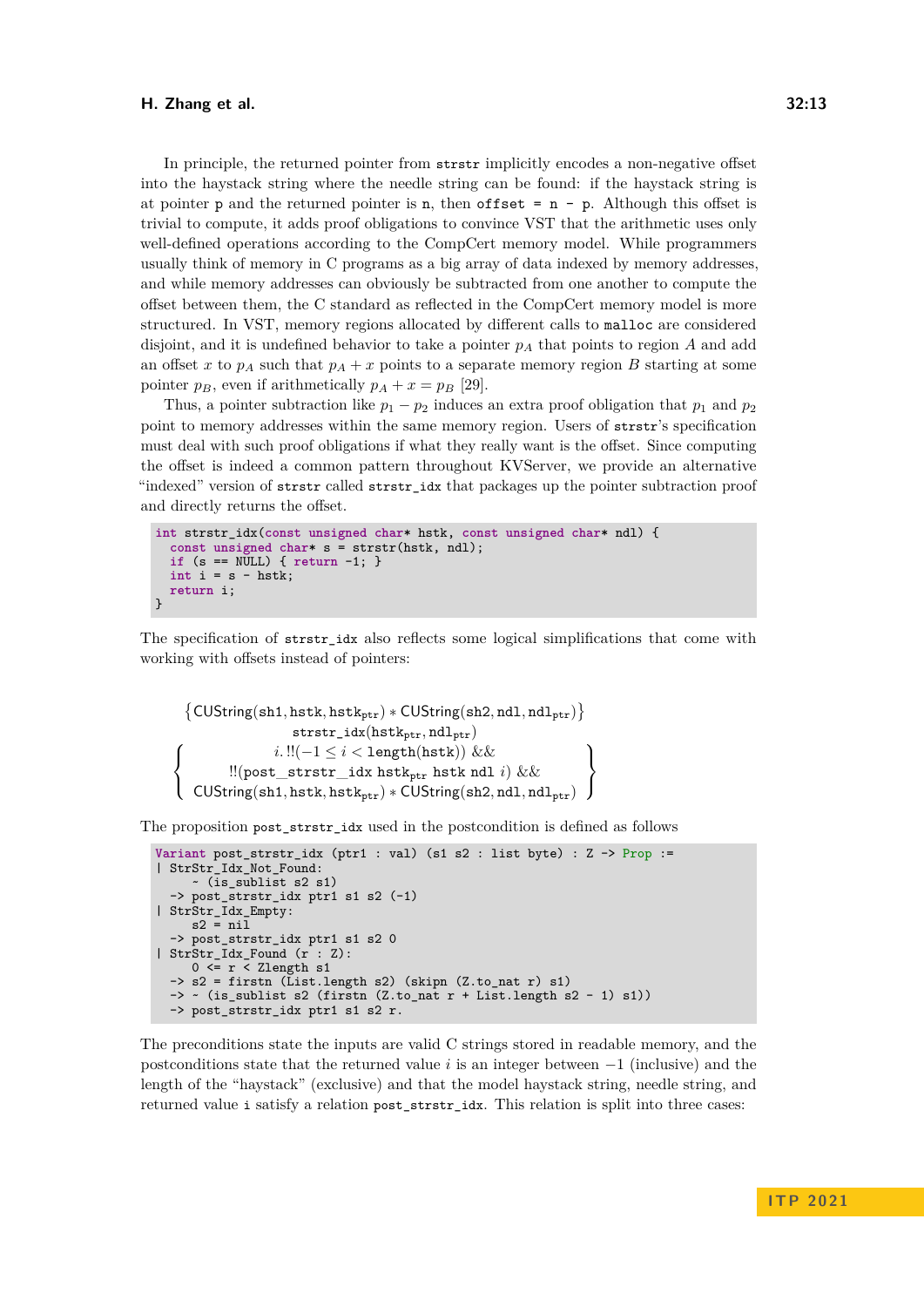In principle, the returned pointer from strstr implicitly encodes a non-negative offset into the haystack string where the needle string can be found: if the haystack string is at pointer p and the returned pointer is n, then offset  $= n - p$ . Although this offset is trivial to compute, it adds proof obligations to convince VST that the arithmetic uses only well-defined operations according to the CompCert memory model. While programmers usually think of memory in C programs as a big array of data indexed by memory addresses, and while memory addresses can obviously be subtracted from one another to compute the offset between them, the C standard as reflected in the CompCert memory model is more structured. In VST, memory regions allocated by different calls to malloc are considered disjoint, and it is undefined behavior to take a pointer *p<sup>A</sup>* that points to region *A* and add an offset *x* to  $p_A$  such that  $p_A + x$  points to a separate memory region *B* starting at some pointer  $p_B$ , even if arithmetically  $p_A + x = p_B$  [\[29\]](#page-17-5).

Thus, a pointer subtraction like  $p_1 - p_2$  induces an extra proof obligation that  $p_1$  and  $p_2$ point to memory addresses within the same memory region. Users of strstr's specification must deal with such proof obligations if what they really want is the offset. Since computing the offset is indeed a common pattern throughout KVServer, we provide an alternative "indexed" version of strstr called strstr\_idx that packages up the pointer subtraction proof and directly returns the offset.

```
int strstr_idx(const unsigned char* hstk, const unsigned char* ndl) {
  const unsigned char* s = strstr(hstk, ndl);
  if (s == NULL) { return -1; }
  int i = s - hstk;
  return i;
}
```
The specification of strstr\_idx also reflects some logical simplifications that come with working with offsets instead of pointers:

```
{CUString(sh1, hstk, hstk_{ptr}) * CUStriangle(sh2, nd1, ndl_{ptr})}strstr_idx(hstkptr, ndlptr)
\sqrt{ }J
\mathcal{L}i. !!(-1 \leq i < length(hstk)) \&\&!!(post_strstr_idx hstkptr hstk ndl i) &&
    \text{CUString}(\text{sh1}, \text{hstk}, \text{hstk}_{\text{ptr}}) * \text{CUString}(\text{sh2}, \text{nd1}, \text{ndl}_{\text{ptr}})\mathcal{L}\mathcal{L}\left\vert \right\vert
```
The proposition post\_strstr\_idx used in the postcondition is defined as follows

```
Variant post_strstr_idx (ptr1 : val) (s1 s2 : list byte) : Z -> Prop :=
| StrStr_Idx_Not_Found:
     ~ (is_sublist s2 s1)
  -> post_strstr_idx ptr1 s1 s2 (-1)
| StrStr_Idx_Empty:
     s2 = ni1-> post_strstr_idx ptr1 s1 s2 0
| StrStr_Idx_Found (r : Z):
     0 \leq r \leq Zlength s1
  \Rightarrow s2 = firstn (List.length s2) (skipn (Z.to_nat r) s1)
 \rightarrow \sim (is_sublist s2 (firstn (Z.to_nat r + List.length s2 - 1) s1))
  -> post_strstr_idx ptr1 s1 s2 r.
```
The preconditions state the inputs are valid C strings stored in readable memory, and the postconditions state that the returned value *i* is an integer between −1 (inclusive) and the length of the "haystack" (exclusive) and that the model haystack string, needle string, and returned value i satisfy a relation post\_strstr\_idx. This relation is split into three cases: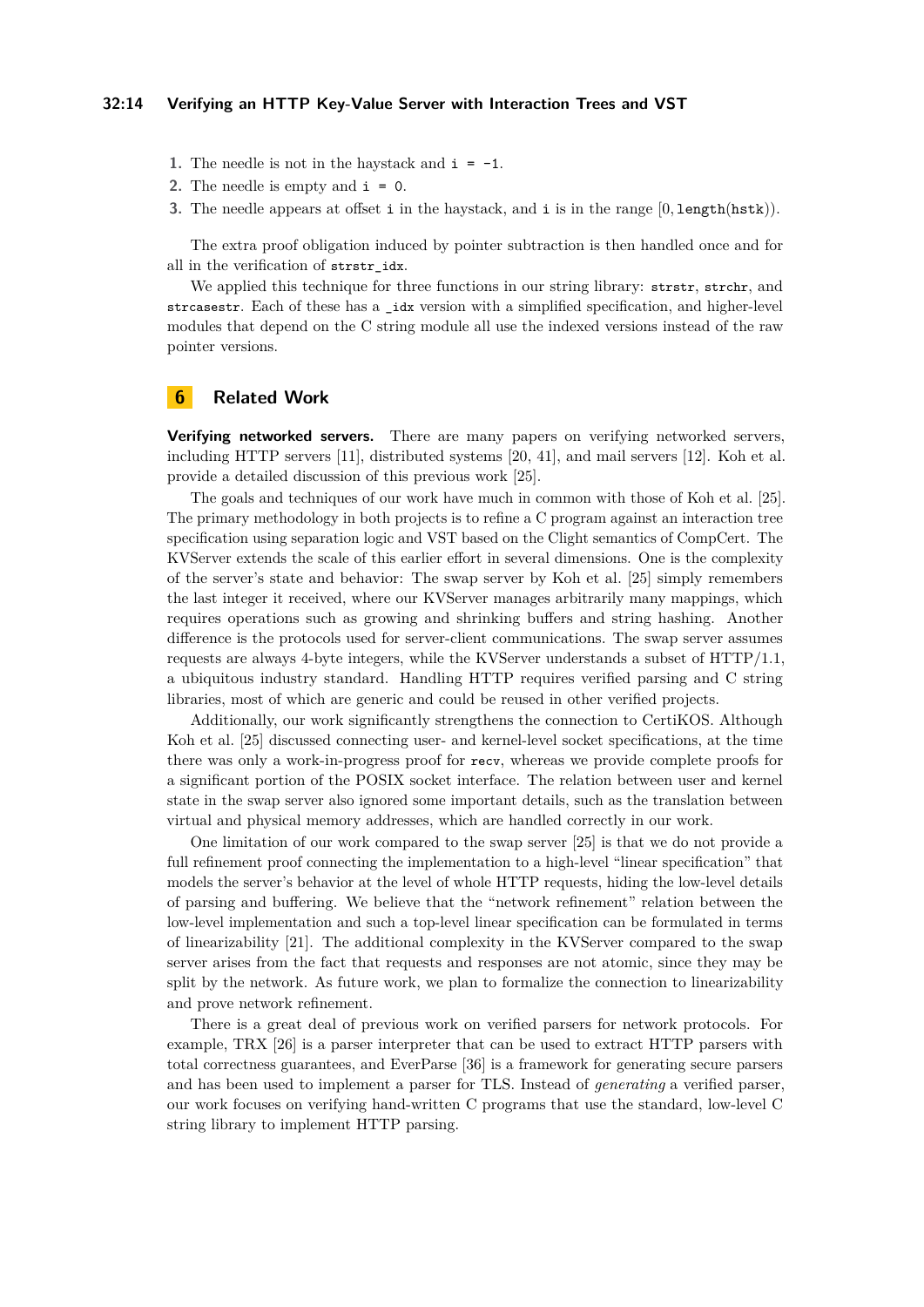#### **32:14 Verifying an HTTP Key-Value Server with Interaction Trees and VST**

- **1.** The needle is not in the haystack and  $i = -1$ .
- **2.** The needle is empty and  $\mathbf{i} = \mathbf{0}$ .
- **3.** The needle appears at offset i in the haystack, and i is in the range [0*,* length(hstk)).

The extra proof obligation induced by pointer subtraction is then handled once and for all in the verification of strstr\_idx.

We applied this technique for three functions in our string library: strstr, strchr, and strcasestr. Each of these has a \_idx version with a simplified specification, and higher-level modules that depend on the C string module all use the indexed versions instead of the raw pointer versions.

### <span id="page-13-0"></span>**6 Related Work**

**Verifying networked servers.** There are many papers on verifying networked servers, including HTTP servers [\[11\]](#page-16-2), distributed systems [\[20,](#page-17-6) [41\]](#page-18-5), and mail servers [\[12\]](#page-16-3). Koh et al. provide a detailed discussion of this previous work [\[25\]](#page-17-0).

The goals and techniques of our work have much in common with those of Koh et al. [\[25\]](#page-17-0). The primary methodology in both projects is to refine a C program against an interaction tree specification using separation logic and VST based on the Clight semantics of CompCert. The KVServer extends the scale of this earlier effort in several dimensions. One is the complexity of the server's state and behavior: The swap server by Koh et al. [\[25\]](#page-17-0) simply remembers the last integer it received, where our KVServer manages arbitrarily many mappings, which requires operations such as growing and shrinking buffers and string hashing. Another difference is the protocols used for server-client communications. The swap server assumes requests are always 4-byte integers, while the KVServer understands a subset of HTTP/1.1, a ubiquitous industry standard. Handling HTTP requires verified parsing and C string libraries, most of which are generic and could be reused in other verified projects.

Additionally, our work significantly strengthens the connection to CertiKOS. Although Koh et al. [\[25\]](#page-17-0) discussed connecting user- and kernel-level socket specifications, at the time there was only a work-in-progress proof for recv, whereas we provide complete proofs for a significant portion of the POSIX socket interface. The relation between user and kernel state in the swap server also ignored some important details, such as the translation between virtual and physical memory addresses, which are handled correctly in our work.

One limitation of our work compared to the swap server [\[25\]](#page-17-0) is that we do not provide a full refinement proof connecting the implementation to a high-level "linear specification" that models the server's behavior at the level of whole HTTP requests, hiding the low-level details of parsing and buffering. We believe that the "network refinement" relation between the low-level implementation and such a top-level linear specification can be formulated in terms of linearizability [\[21\]](#page-17-7). The additional complexity in the KVServer compared to the swap server arises from the fact that requests and responses are not atomic, since they may be split by the network. As future work, we plan to formalize the connection to linearizability and prove network refinement.

There is a great deal of previous work on verified parsers for network protocols. For example, TRX [\[26\]](#page-17-8) is a parser interpreter that can be used to extract HTTP parsers with total correctness guarantees, and EverParse [\[36\]](#page-18-6) is a framework for generating secure parsers and has been used to implement a parser for TLS. Instead of *generating* a verified parser, our work focuses on verifying hand-written C programs that use the standard, low-level C string library to implement HTTP parsing.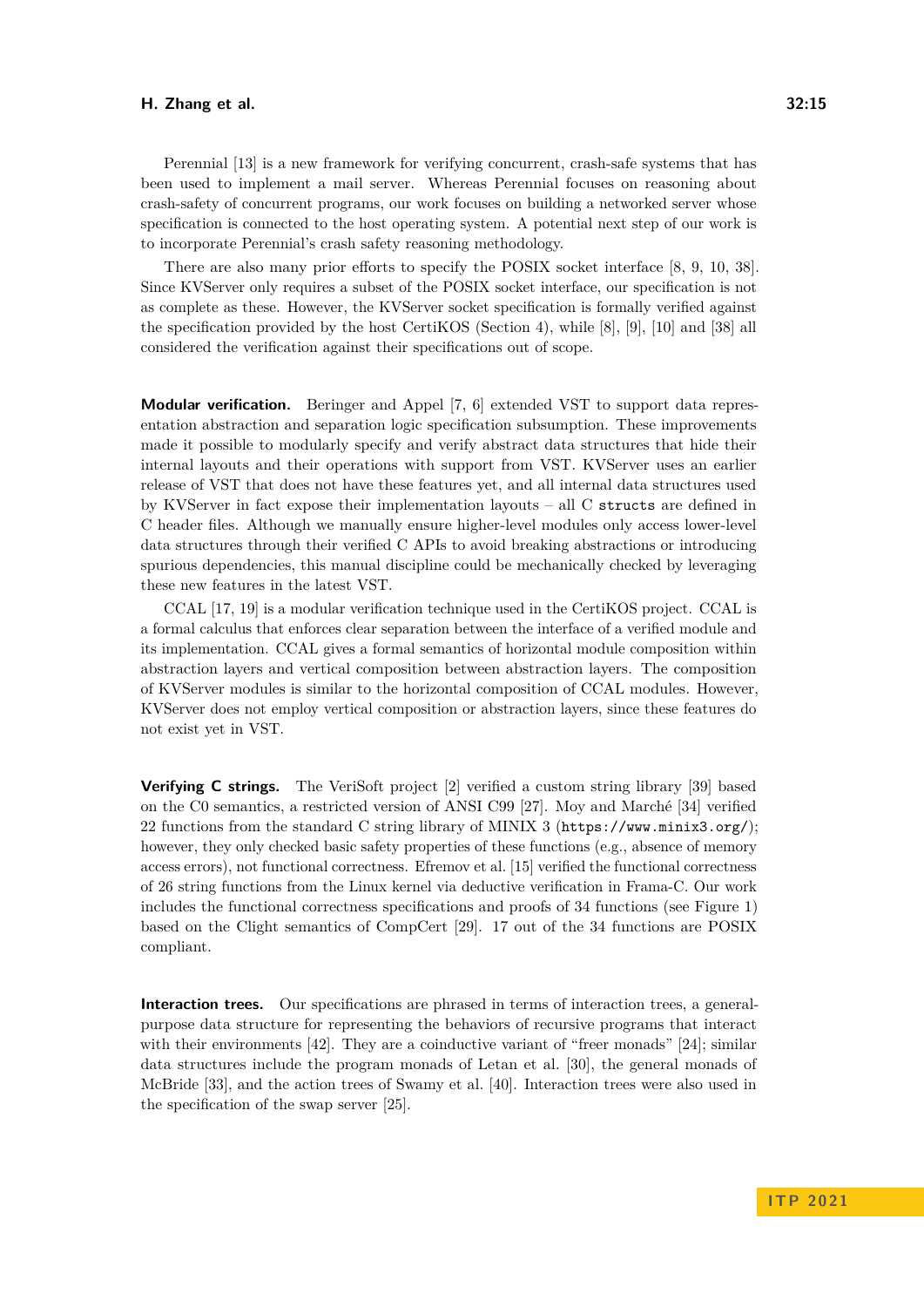Perennial [\[13\]](#page-16-4) is a new framework for verifying concurrent, crash-safe systems that has been used to implement a mail server. Whereas Perennial focuses on reasoning about crash-safety of concurrent programs, our work focuses on building a networked server whose specification is connected to the host operating system. A potential next step of our work is to incorporate Perennial's crash safety reasoning methodology.

There are also many prior efforts to specify the POSIX socket interface [\[8,](#page-16-5) [9,](#page-16-6) [10,](#page-16-7) [38\]](#page-18-7). Since KVServer only requires a subset of the POSIX socket interface, our specification is not as complete as these. However, the KVServer socket specification is formally verified against the specification provided by the host CertiKOS (Section [4\)](#page-8-0), while [\[8\]](#page-16-5), [\[9\]](#page-16-6), [\[10\]](#page-16-7) and [\[38\]](#page-18-7) all considered the verification against their specifications out of scope.

**Modular verification.** Beringer and Appel [\[7,](#page-16-8) [6\]](#page-16-9) extended VST to support data representation abstraction and separation logic specification subsumption. These improvements made it possible to modularly specify and verify abstract data structures that hide their internal layouts and their operations with support from VST. KVServer uses an earlier release of VST that does not have these features yet, and all internal data structures used by KVServer in fact expose their implementation layouts – all  $C$  structs are defined in C header files. Although we manually ensure higher-level modules only access lower-level data structures through their verified C APIs to avoid breaking abstractions or introducing spurious dependencies, this manual discipline could be mechanically checked by leveraging these new features in the latest VST.

CCAL [\[17,](#page-16-10) [19\]](#page-17-9) is a modular verification technique used in the CertiKOS project. CCAL is a formal calculus that enforces clear separation between the interface of a verified module and its implementation. CCAL gives a formal semantics of horizontal module composition within abstraction layers and vertical composition between abstraction layers. The composition of KVServer modules is similar to the horizontal composition of CCAL modules. However, KVServer does not employ vertical composition or abstraction layers, since these features do not exist yet in VST.

**Verifying C strings.** The VeriSoft project [\[2\]](#page-15-4) verified a custom string library [\[39\]](#page-18-8) based on the C0 semantics, a restricted version of ANSI C99 [\[27\]](#page-17-10). Moy and Marché [\[34\]](#page-18-9) verified 22 functions from the standard C string library of MINIX 3 (<https://www.minix3.org/>); however, they only checked basic safety properties of these functions (e.g., absence of memory access errors), not functional correctness. Efremov et al. [\[15\]](#page-16-11) verified the functional correctness of 26 string functions from the Linux kernel via deductive verification in Frama-C. Our work includes the functional correctness specifications and proofs of 34 functions (see Figure [1\)](#page-8-1) based on the Clight semantics of CompCert [\[29\]](#page-17-5). 17 out of the 34 functions are POSIX compliant.

**Interaction trees.** Our specifications are phrased in terms of interaction trees, a generalpurpose data structure for representing the behaviors of recursive programs that interact with their environments [\[42\]](#page-18-0). They are a coinductive variant of "freer monads" [\[24\]](#page-17-11); similar data structures include the program monads of Letan et al. [\[30\]](#page-17-12), the general monads of McBride [\[33\]](#page-18-10), and the action trees of Swamy et al. [\[40\]](#page-18-11). Interaction trees were also used in the specification of the swap server [\[25\]](#page-17-0).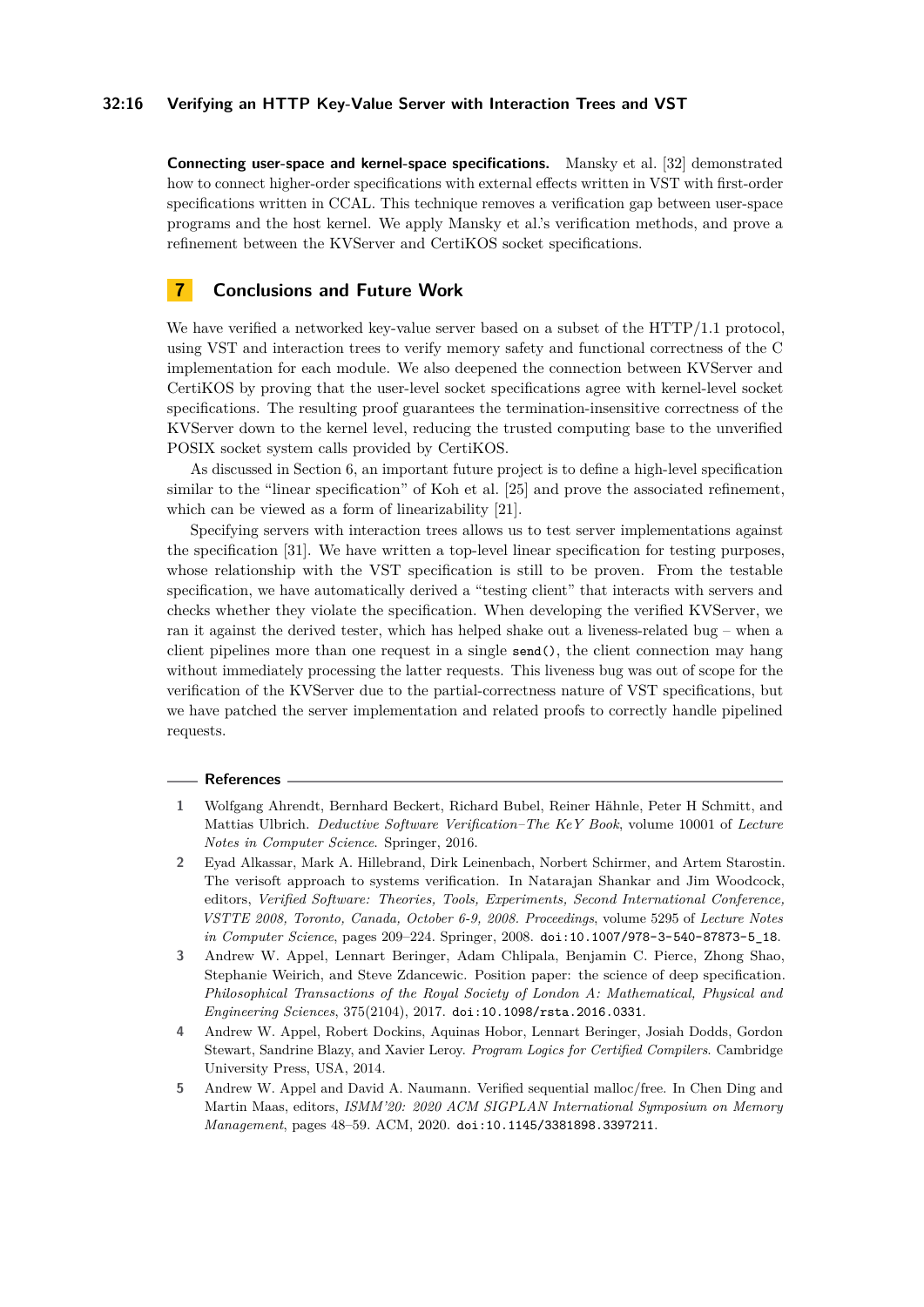#### **32:16 Verifying an HTTP Key-Value Server with Interaction Trees and VST**

**Connecting user-space and kernel-space specifications.** Mansky et al. [\[32\]](#page-18-1) demonstrated how to connect higher-order specifications with external effects written in VST with first-order specifications written in CCAL. This technique removes a verification gap between user-space programs and the host kernel. We apply Mansky et al.'s verification methods, and prove a refinement between the KVServer and CertiKOS socket specifications.

### **7 Conclusions and Future Work**

We have verified a networked key-value server based on a subset of the HTTP/1.1 protocol, using VST and interaction trees to verify memory safety and functional correctness of the C implementation for each module. We also deepened the connection between KVServer and CertiKOS by proving that the user-level socket specifications agree with kernel-level socket specifications. The resulting proof guarantees the termination-insensitive correctness of the KVServer down to the kernel level, reducing the trusted computing base to the unverified POSIX socket system calls provided by CertiKOS.

As discussed in Section [6,](#page-13-0) an important future project is to define a high-level specification similar to the "linear specification" of Koh et al. [\[25\]](#page-17-0) and prove the associated refinement, which can be viewed as a form of linearizability [\[21\]](#page-17-7).

Specifying servers with interaction trees allows us to test server implementations against the specification [\[31\]](#page-18-12). We have written a top-level linear specification for testing purposes, whose relationship with the VST specification is still to be proven. From the testable specification, we have automatically derived a "testing client" that interacts with servers and checks whether they violate the specification. When developing the verified KVServer, we ran it against the derived tester, which has helped shake out a liveness-related bug – when a client pipelines more than one request in a single send(), the client connection may hang without immediately processing the latter requests. This liveness bug was out of scope for the verification of the KVServer due to the partial-correctness nature of VST specifications, but we have patched the server implementation and related proofs to correctly handle pipelined requests.

#### **References**

- <span id="page-15-2"></span>**1** Wolfgang Ahrendt, Bernhard Beckert, Richard Bubel, Reiner Hähnle, Peter H Schmitt, and Mattias Ulbrich. *Deductive Software Verification–The KeY Book*, volume 10001 of *Lecture Notes in Computer Science*. Springer, 2016.
- <span id="page-15-4"></span>**2** Eyad Alkassar, Mark A. Hillebrand, Dirk Leinenbach, Norbert Schirmer, and Artem Starostin. The verisoft approach to systems verification. In Natarajan Shankar and Jim Woodcock, editors, *Verified Software: Theories, Tools, Experiments, Second International Conference, VSTTE 2008, Toronto, Canada, October 6-9, 2008. Proceedings*, volume 5295 of *Lecture Notes in Computer Science*, pages 209–224. Springer, 2008. [doi:10.1007/978-3-540-87873-5\\_18](https://doi.org/10.1007/978-3-540-87873-5_18).
- <span id="page-15-0"></span>**3** Andrew W. Appel, Lennart Beringer, Adam Chlipala, Benjamin C. Pierce, Zhong Shao, Stephanie Weirich, and Steve Zdancewic. Position paper: the science of deep specification. *Philosophical Transactions of the Royal Society of London A: Mathematical, Physical and Engineering Sciences*, 375(2104), 2017. [doi:10.1098/rsta.2016.0331](https://doi.org/10.1098/rsta.2016.0331).
- <span id="page-15-1"></span>**4** Andrew W. Appel, Robert Dockins, Aquinas Hobor, Lennart Beringer, Josiah Dodds, Gordon Stewart, Sandrine Blazy, and Xavier Leroy. *Program Logics for Certified Compilers*. Cambridge University Press, USA, 2014.
- <span id="page-15-3"></span>**5** Andrew W. Appel and David A. Naumann. Verified sequential malloc/free. In Chen Ding and Martin Maas, editors, *ISMM'20: 2020 ACM SIGPLAN International Symposium on Memory Management*, pages 48–59. ACM, 2020. [doi:10.1145/3381898.3397211](https://doi.org/10.1145/3381898.3397211).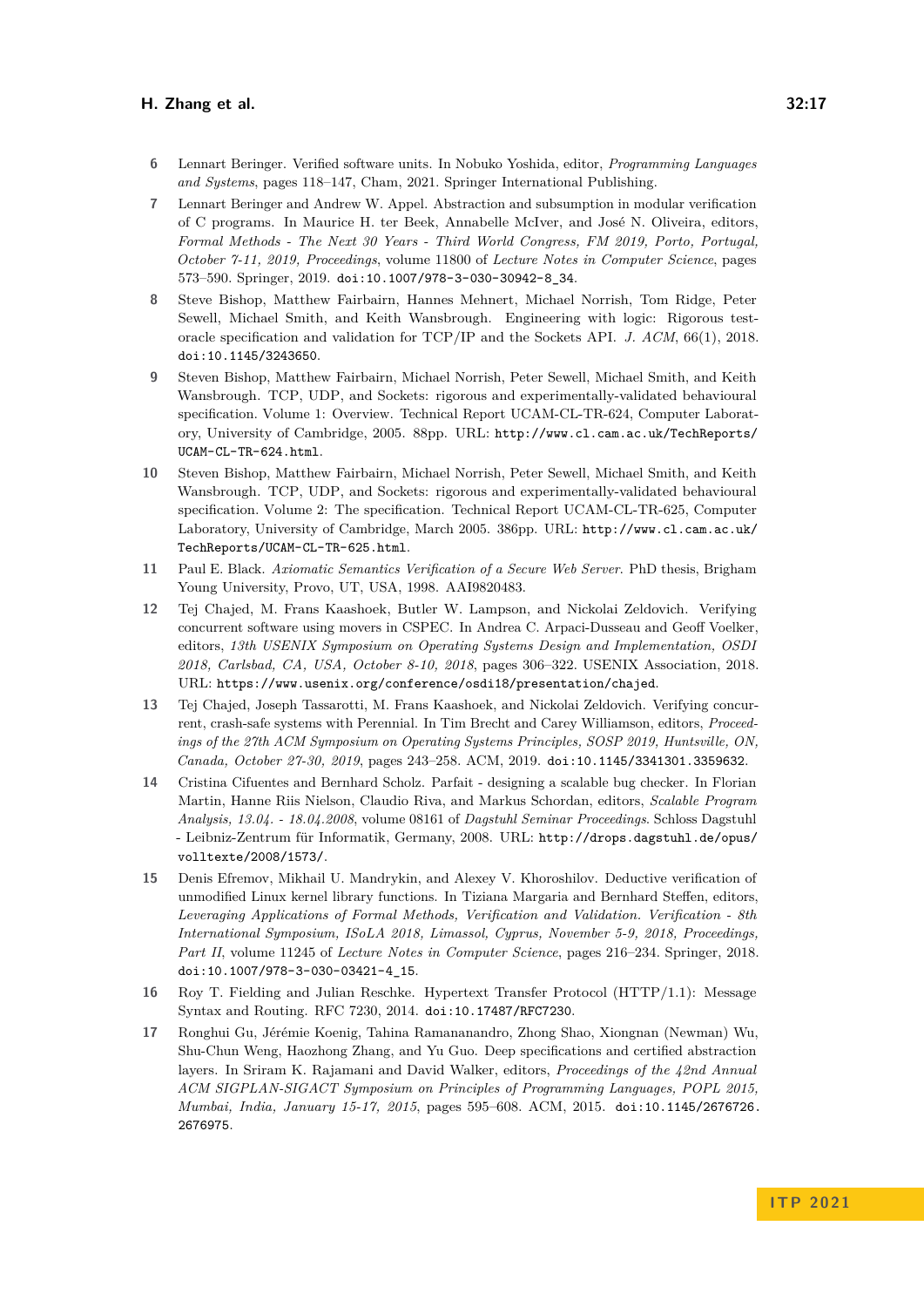- <span id="page-16-9"></span>**6** Lennart Beringer. Verified software units. In Nobuko Yoshida, editor, *Programming Languages and Systems*, pages 118–147, Cham, 2021. Springer International Publishing.
- <span id="page-16-8"></span>**7** Lennart Beringer and Andrew W. Appel. Abstraction and subsumption in modular verification of C programs. In Maurice H. ter Beek, Annabelle McIver, and José N. Oliveira, editors, *Formal Methods - The Next 30 Years - Third World Congress, FM 2019, Porto, Portugal, October 7-11, 2019, Proceedings*, volume 11800 of *Lecture Notes in Computer Science*, pages 573–590. Springer, 2019. [doi:10.1007/978-3-030-30942-8\\_34](https://doi.org/10.1007/978-3-030-30942-8_34).
- <span id="page-16-5"></span>**8** Steve Bishop, Matthew Fairbairn, Hannes Mehnert, Michael Norrish, Tom Ridge, Peter Sewell, Michael Smith, and Keith Wansbrough. Engineering with logic: Rigorous testoracle specification and validation for TCP/IP and the Sockets API. *J. ACM*, 66(1), 2018. [doi:10.1145/3243650](https://doi.org/10.1145/3243650).
- <span id="page-16-6"></span>**9** Steven Bishop, Matthew Fairbairn, Michael Norrish, Peter Sewell, Michael Smith, and Keith Wansbrough. TCP, UDP, and Sockets: rigorous and experimentally-validated behavioural specification. Volume 1: Overview. Technical Report UCAM-CL-TR-624, Computer Laboratory, University of Cambridge, 2005. 88pp. URL: [http://www.cl.cam.ac.uk/TechReports/](http://www.cl.cam.ac.uk/TechReports/UCAM-CL-TR-624.html) [UCAM-CL-TR-624.html](http://www.cl.cam.ac.uk/TechReports/UCAM-CL-TR-624.html).
- <span id="page-16-7"></span>**10** Steven Bishop, Matthew Fairbairn, Michael Norrish, Peter Sewell, Michael Smith, and Keith Wansbrough. TCP, UDP, and Sockets: rigorous and experimentally-validated behavioural specification. Volume 2: The specification. Technical Report UCAM-CL-TR-625, Computer Laboratory, University of Cambridge, March 2005. 386pp. URL: [http://www.cl.cam.ac.uk/](http://www.cl.cam.ac.uk/TechReports/UCAM-CL-TR-625.html) [TechReports/UCAM-CL-TR-625.html](http://www.cl.cam.ac.uk/TechReports/UCAM-CL-TR-625.html).
- <span id="page-16-2"></span>**11** Paul E. Black. *Axiomatic Semantics Verification of a Secure Web Server*. PhD thesis, Brigham Young University, Provo, UT, USA, 1998. AAI9820483.
- <span id="page-16-3"></span>**12** Tej Chajed, M. Frans Kaashoek, Butler W. Lampson, and Nickolai Zeldovich. Verifying concurrent software using movers in CSPEC. In Andrea C. Arpaci-Dusseau and Geoff Voelker, editors, *13th USENIX Symposium on Operating Systems Design and Implementation, OSDI 2018, Carlsbad, CA, USA, October 8-10, 2018*, pages 306–322. USENIX Association, 2018. URL: <https://www.usenix.org/conference/osdi18/presentation/chajed>.
- <span id="page-16-4"></span>**13** Tej Chajed, Joseph Tassarotti, M. Frans Kaashoek, and Nickolai Zeldovich. Verifying concurrent, crash-safe systems with Perennial. In Tim Brecht and Carey Williamson, editors, *Proceedings of the 27th ACM Symposium on Operating Systems Principles, SOSP 2019, Huntsville, ON, Canada, October 27-30, 2019*, pages 243–258. ACM, 2019. [doi:10.1145/3341301.3359632](https://doi.org/10.1145/3341301.3359632).
- <span id="page-16-1"></span>**14** Cristina Cifuentes and Bernhard Scholz. Parfait - designing a scalable bug checker. In Florian Martin, Hanne Riis Nielson, Claudio Riva, and Markus Schordan, editors, *Scalable Program Analysis, 13.04. - 18.04.2008*, volume 08161 of *Dagstuhl Seminar Proceedings*. Schloss Dagstuhl - Leibniz-Zentrum für Informatik, Germany, 2008. URL: [http://drops.dagstuhl.de/opus/](http://drops.dagstuhl.de/opus/volltexte/2008/1573/) [volltexte/2008/1573/](http://drops.dagstuhl.de/opus/volltexte/2008/1573/).
- <span id="page-16-11"></span>**15** Denis Efremov, Mikhail U. Mandrykin, and Alexey V. Khoroshilov. Deductive verification of unmodified Linux kernel library functions. In Tiziana Margaria and Bernhard Steffen, editors, *Leveraging Applications of Formal Methods, Verification and Validation. Verification - 8th International Symposium, ISoLA 2018, Limassol, Cyprus, November 5-9, 2018, Proceedings, Part II*, volume 11245 of *Lecture Notes in Computer Science*, pages 216–234. Springer, 2018. [doi:10.1007/978-3-030-03421-4\\_15](https://doi.org/10.1007/978-3-030-03421-4_15).
- <span id="page-16-0"></span>**16** Roy T. Fielding and Julian Reschke. Hypertext Transfer Protocol (HTTP/1.1): Message Syntax and Routing. RFC 7230, 2014. [doi:10.17487/RFC7230](https://doi.org/10.17487/RFC7230).
- <span id="page-16-10"></span>**17** Ronghui Gu, Jérémie Koenig, Tahina Ramananandro, Zhong Shao, Xiongnan (Newman) Wu, Shu-Chun Weng, Haozhong Zhang, and Yu Guo. Deep specifications and certified abstraction layers. In Sriram K. Rajamani and David Walker, editors, *Proceedings of the 42nd Annual ACM SIGPLAN-SIGACT Symposium on Principles of Programming Languages, POPL 2015, Mumbai, India, January 15-17, 2015*, pages 595–608. ACM, 2015. [doi:10.1145/2676726.](https://doi.org/10.1145/2676726.2676975) [2676975](https://doi.org/10.1145/2676726.2676975).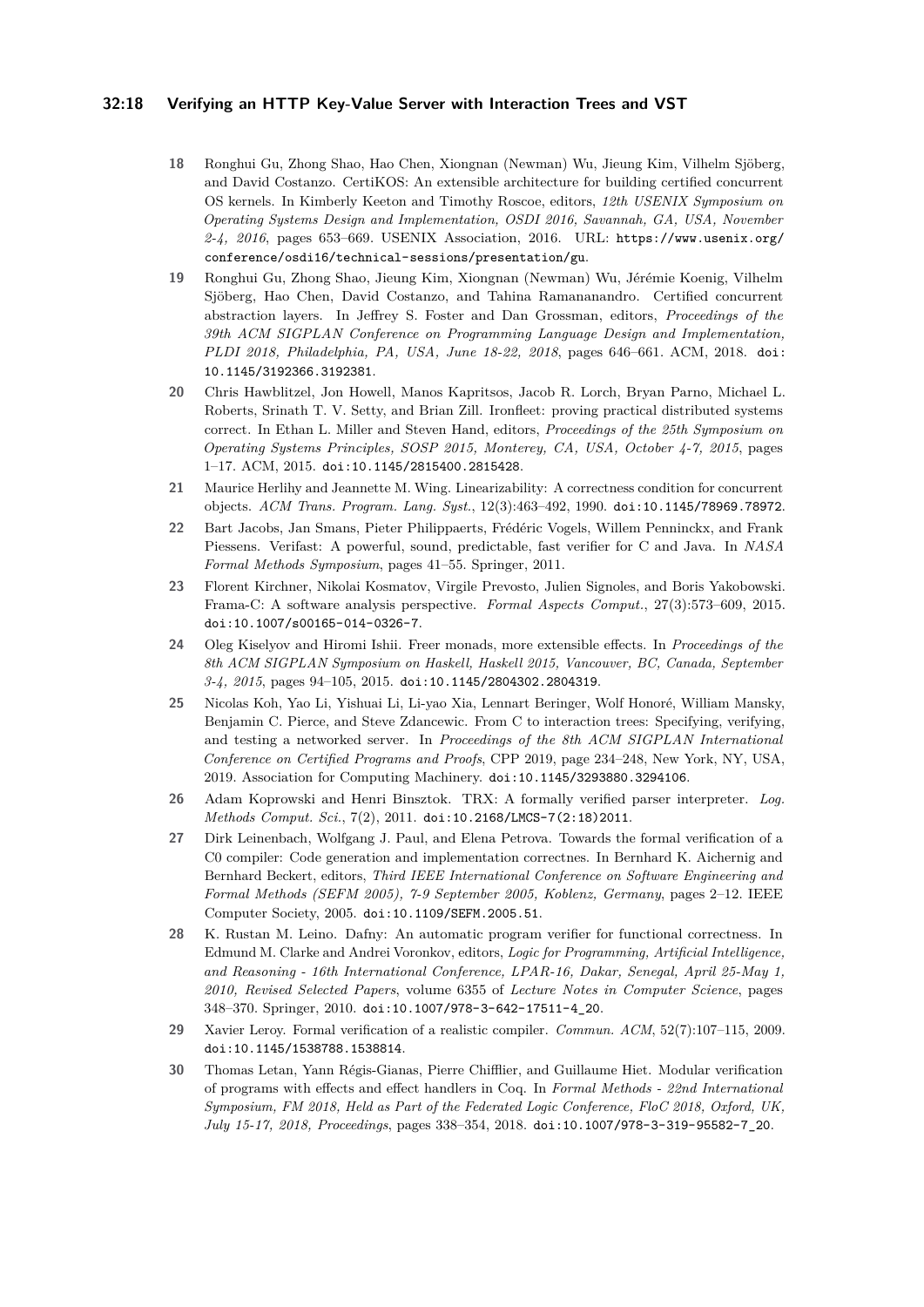#### **32:18 Verifying an HTTP Key-Value Server with Interaction Trees and VST**

- <span id="page-17-1"></span>**18** Ronghui Gu, Zhong Shao, Hao Chen, Xiongnan (Newman) Wu, Jieung Kim, Vilhelm Sjöberg, and David Costanzo. CertiKOS: An extensible architecture for building certified concurrent OS kernels. In Kimberly Keeton and Timothy Roscoe, editors, *12th USENIX Symposium on Operating Systems Design and Implementation, OSDI 2016, Savannah, GA, USA, November 2-4, 2016*, pages 653–669. USENIX Association, 2016. URL: [https://www.usenix.org/](https://www.usenix.org/conference/osdi16/technical-sessions/presentation/gu) [conference/osdi16/technical-sessions/presentation/gu](https://www.usenix.org/conference/osdi16/technical-sessions/presentation/gu).
- <span id="page-17-9"></span>**19** Ronghui Gu, Zhong Shao, Jieung Kim, Xiongnan (Newman) Wu, Jérémie Koenig, Vilhelm Sjöberg, Hao Chen, David Costanzo, and Tahina Ramananandro. Certified concurrent abstraction layers. In Jeffrey S. Foster and Dan Grossman, editors, *Proceedings of the 39th ACM SIGPLAN Conference on Programming Language Design and Implementation, PLDI 2018, Philadelphia, PA, USA, June 18-22, 2018*, pages 646–661. ACM, 2018. [doi:](https://doi.org/10.1145/3192366.3192381) [10.1145/3192366.3192381](https://doi.org/10.1145/3192366.3192381).
- <span id="page-17-6"></span>**20** Chris Hawblitzel, Jon Howell, Manos Kapritsos, Jacob R. Lorch, Bryan Parno, Michael L. Roberts, Srinath T. V. Setty, and Brian Zill. Ironfleet: proving practical distributed systems correct. In Ethan L. Miller and Steven Hand, editors, *Proceedings of the 25th Symposium on Operating Systems Principles, SOSP 2015, Monterey, CA, USA, October 4-7, 2015*, pages 1–17. ACM, 2015. [doi:10.1145/2815400.2815428](https://doi.org/10.1145/2815400.2815428).
- <span id="page-17-7"></span>**21** Maurice Herlihy and Jeannette M. Wing. Linearizability: A correctness condition for concurrent objects. *ACM Trans. Program. Lang. Syst.*, 12(3):463–492, 1990. [doi:10.1145/78969.78972](https://doi.org/10.1145/78969.78972).
- <span id="page-17-3"></span>**22** Bart Jacobs, Jan Smans, Pieter Philippaerts, Frédéric Vogels, Willem Penninckx, and Frank Piessens. Verifast: A powerful, sound, predictable, fast verifier for C and Java. In *NASA Formal Methods Symposium*, pages 41–55. Springer, 2011.
- <span id="page-17-2"></span>**23** Florent Kirchner, Nikolai Kosmatov, Virgile Prevosto, Julien Signoles, and Boris Yakobowski. Frama-C: A software analysis perspective. *Formal Aspects Comput.*, 27(3):573–609, 2015. [doi:10.1007/s00165-014-0326-7](https://doi.org/10.1007/s00165-014-0326-7).
- <span id="page-17-11"></span>**24** Oleg Kiselyov and Hiromi Ishii. Freer monads, more extensible effects. In *Proceedings of the 8th ACM SIGPLAN Symposium on Haskell, Haskell 2015, Vancouver, BC, Canada, September 3-4, 2015*, pages 94–105, 2015. [doi:10.1145/2804302.2804319](https://doi.org/10.1145/2804302.2804319).
- <span id="page-17-0"></span>**25** Nicolas Koh, Yao Li, Yishuai Li, Li-yao Xia, Lennart Beringer, Wolf Honoré, William Mansky, Benjamin C. Pierce, and Steve Zdancewic. From C to interaction trees: Specifying, verifying, and testing a networked server. In *Proceedings of the 8th ACM SIGPLAN International Conference on Certified Programs and Proofs*, CPP 2019, page 234–248, New York, NY, USA, 2019. Association for Computing Machinery. [doi:10.1145/3293880.3294106](https://doi.org/10.1145/3293880.3294106).
- <span id="page-17-8"></span>**26** Adam Koprowski and Henri Binsztok. TRX: A formally verified parser interpreter. *Log. Methods Comput. Sci.*, 7(2), 2011. [doi:10.2168/LMCS-7\(2:18\)2011](https://doi.org/10.2168/LMCS-7(2:18)2011).
- <span id="page-17-10"></span>**27** Dirk Leinenbach, Wolfgang J. Paul, and Elena Petrova. Towards the formal verification of a C0 compiler: Code generation and implementation correctnes. In Bernhard K. Aichernig and Bernhard Beckert, editors, *Third IEEE International Conference on Software Engineering and Formal Methods (SEFM 2005), 7-9 September 2005, Koblenz, Germany*, pages 2–12. IEEE Computer Society, 2005. [doi:10.1109/SEFM.2005.51](https://doi.org/10.1109/SEFM.2005.51).
- <span id="page-17-4"></span>**28** K. Rustan M. Leino. Dafny: An automatic program verifier for functional correctness. In Edmund M. Clarke and Andrei Voronkov, editors, *Logic for Programming, Artificial Intelligence, and Reasoning - 16th International Conference, LPAR-16, Dakar, Senegal, April 25-May 1, 2010, Revised Selected Papers*, volume 6355 of *Lecture Notes in Computer Science*, pages 348–370. Springer, 2010. [doi:10.1007/978-3-642-17511-4\\_20](https://doi.org/10.1007/978-3-642-17511-4_20).
- <span id="page-17-5"></span>**29** Xavier Leroy. Formal verification of a realistic compiler. *Commun. ACM*, 52(7):107–115, 2009. [doi:10.1145/1538788.1538814](https://doi.org/10.1145/1538788.1538814).
- <span id="page-17-12"></span>**30** Thomas Letan, Yann Régis-Gianas, Pierre Chifflier, and Guillaume Hiet. Modular verification of programs with effects and effect handlers in Coq. In *Formal Methods - 22nd International Symposium, FM 2018, Held as Part of the Federated Logic Conference, FloC 2018, Oxford, UK, July 15-17, 2018, Proceedings*, pages 338–354, 2018. [doi:10.1007/978-3-319-95582-7\\_20](https://doi.org/10.1007/978-3-319-95582-7_20).